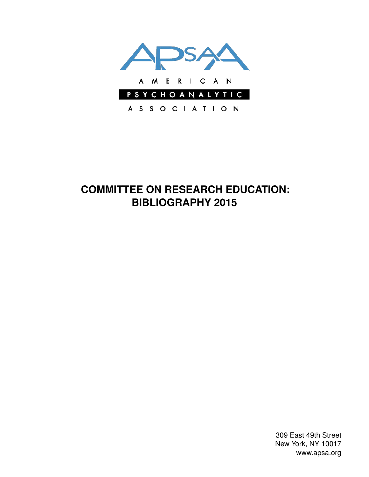

# **COMMITTEE ON RESEARCH EDUCATION: BIBLIOGRAPHY 2015**

309 East 49th Street New York, NY 10017 www.apsa.org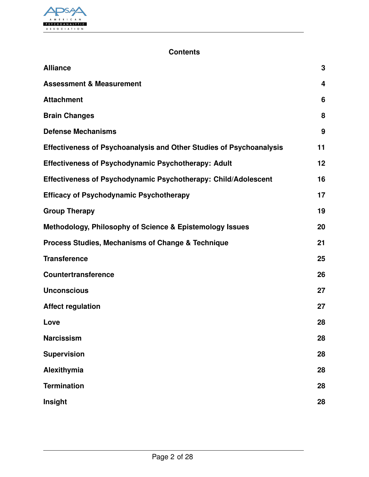

### **Contents**

| <b>Alliance</b>                                                            | 3                       |
|----------------------------------------------------------------------------|-------------------------|
| <b>Assessment &amp; Measurement</b>                                        | $\overline{\mathbf{4}}$ |
| <b>Attachment</b>                                                          | 6                       |
| <b>Brain Changes</b>                                                       | 8                       |
| <b>Defense Mechanisms</b>                                                  | 9                       |
| <b>Effectiveness of Psychoanalysis and Other Studies of Psychoanalysis</b> | 11                      |
| <b>Effectiveness of Psychodynamic Psychotherapy: Adult</b>                 | 12                      |
| Effectiveness of Psychodynamic Psychotherapy: Child/Adolescent             | 16                      |
| <b>Efficacy of Psychodynamic Psychotherapy</b>                             | 17                      |
| <b>Group Therapy</b>                                                       | 19                      |
| Methodology, Philosophy of Science & Epistemology Issues                   | 20                      |
| <b>Process Studies, Mechanisms of Change &amp; Technique</b>               | 21                      |
| <b>Transference</b>                                                        | 25                      |
| <b>Countertransference</b>                                                 | 26                      |
| <b>Unconscious</b>                                                         | 27                      |
| <b>Affect regulation</b>                                                   | 27                      |
| Love                                                                       | 28                      |
| <b>Narcissism</b>                                                          | 28                      |
| <b>Supervision</b>                                                         | 28                      |
| Alexithymia                                                                | 28                      |
| <b>Termination</b>                                                         | 28                      |
| Insight                                                                    | 28                      |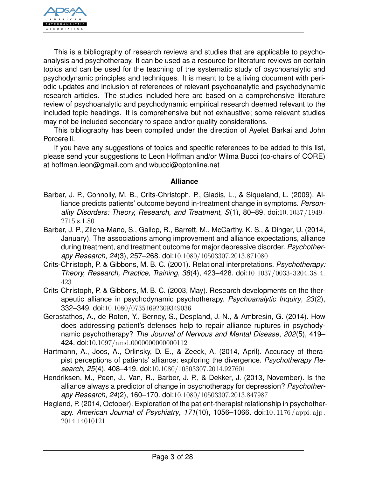

This is a bibliography of research reviews and studies that are applicable to psychoanalysis and psychotherapy. It can be used as a resource for literature reviews on certain topics and can be used for the teaching of the systematic study of psychoanalytic and psychodynamic principles and techniques. It is meant to be a living document with periodic updates and inclusion of references of relevant psychoanalytic and psychodynamic research articles. The studies included here are based on a comprehensive literature review of psychoanalytic and psychodynamic empirical research deemed relevant to the included topic headings. It is comprehensive but not exhaustive; some relevant studies may not be included secondary to space and/or quality considerations.

This bibliography has been compiled under the direction of Ayelet Barkai and John Porcerelli.

If you have any suggestions of topics and specific references to be added to this list, please send your suggestions to Leon Hoffman and/or Wilma Bucci (co-chairs of CORE) at hoffman.leon@gmail.com and wbucci@optonline.net

#### <span id="page-2-0"></span>**Alliance**

- Barber, J. P., Connolly, M. B., Crits-Christoph, P., Gladis, L., & Siqueland, L. (2009). Alliance predicts patients' outcome beyond in-treatment change in symptoms. *Personality Disorders: Theory, Research, and Treatment*, *S*(1), 80–89. doi:[10.1037/1949-](http://dx.doi.org/10.1037/1949-2715.s.1.80) [2715.s.1.80](http://dx.doi.org/10.1037/1949-2715.s.1.80)
- Barber, J. P., Zilcha-Mano, S., Gallop, R., Barrett, M., McCarthy, K. S., & Dinger, U. (2014, January). The associations among improvement and alliance expectations, alliance during treatment, and treatment outcome for major depressive disorder. *Psychotherapy Research*, *24*(3), 257–268. doi:[10.1080/10503307.2013.871080](http://dx.doi.org/10.1080/10503307.2013.871080)
- Crits-Christoph, P. & Gibbons, M. B. C. (2001). Relational interpretations. *Psychotherapy: Theory, Research, Practice, Training*, *38*(4), 423–428. doi:[10.1037/0033-3204.38.4.](http://dx.doi.org/10.1037/0033-3204.38.4.423) [423](http://dx.doi.org/10.1037/0033-3204.38.4.423)
- Crits-Christoph, P. & Gibbons, M. B. C. (2003, May). Research developments on the therapeutic alliance in psychodynamic psychotherapy. *Psychoanalytic Inquiry*, *23*(2), 332–349. doi:[10.1080/07351692309349036](http://dx.doi.org/10.1080/07351692309349036)
- Gerostathos, A., de Roten, Y., Berney, S., Despland, J.-N., & Ambresin, G. (2014). How does addressing patient's defenses help to repair alliance ruptures in psychodynamic psychotherapy? *The Journal of Nervous and Mental Disease*, *202*(5), 419– 424. doi:[10.1097/nmd.0000000000000112](http://dx.doi.org/10.1097/nmd.0000000000000112)
- Hartmann, A., Joos, A., Orlinsky, D. E., & Zeeck, A. (2014, April). Accuracy of therapist perceptions of patients' alliance: exploring the divergence. *Psychotherapy Research*, *25*(4), 408–419. doi:[10.1080/10503307.2014.927601](http://dx.doi.org/10.1080/10503307.2014.927601)
- Hendriksen, M., Peen, J., Van, R., Barber, J. P., & Dekker, J. (2013, November). Is the alliance always a predictor of change in psychotherapy for depression? *Psychotherapy Research*, *24*(2), 160–170. doi:[10.1080/10503307.2013.847987](http://dx.doi.org/10.1080/10503307.2013.847987)
- Høglend, P. (2014, October). Exploration of the patient-therapist relationship in psychotherapy. *American Journal of Psychiatry*, *171*(10), 1056–1066. doi:[10.1176/appi.ajp.](http://dx.doi.org/10.1176/appi.ajp.2014.14010121) [2014.14010121](http://dx.doi.org/10.1176/appi.ajp.2014.14010121)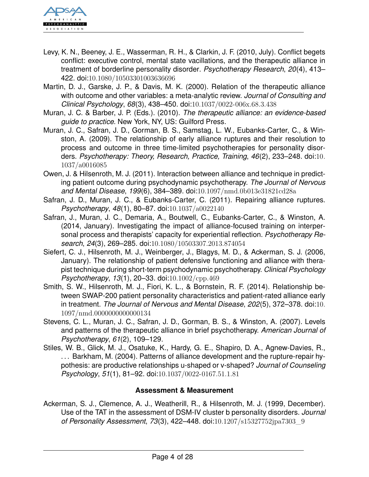

- Levy, K. N., Beeney, J. E., Wasserman, R. H., & Clarkin, J. F. (2010, July). Conflict begets conflict: executive control, mental state vacillations, and the therapeutic alliance in treatment of borderline personality disorder. *Psychotherapy Research*, *20*(4), 413– 422. doi:[10.1080/10503301003636696](http://dx.doi.org/10.1080/10503301003636696)
- Martin, D. J., Garske, J. P., & Davis, M. K. (2000). Relation of the therapeutic alliance with outcome and other variables: a meta-analytic review. *Journal of Consulting and Clinical Psychology*, *68*(3), 438–450. doi:[10.1037/0022-006x.68.3.438](http://dx.doi.org/10.1037/0022-006x.68.3.438)
- Muran, J. C. & Barber, J. P. (Eds.). (2010). *The therapeutic alliance: an evidence-based guide to practice.* New York, NY, US: Guilford Press.
- Muran, J. C., Safran, J. D., Gorman, B. S., Samstag, L. W., Eubanks-Carter, C., & Winston, A. (2009). The relationship of early alliance ruptures and their resolution to process and outcome in three time-limited psychotherapies for personality disorders. *Psychotherapy: Theory, Research, Practice, Training*, *46*(2), 233–248. doi:[10.](http://dx.doi.org/10.1037/a0016085) [1037/a0016085](http://dx.doi.org/10.1037/a0016085)
- Owen, J. & Hilsenroth, M. J. (2011). Interaction between alliance and technique in predicting patient outcome during psychodynamic psychotherapy. *The Journal of Nervous and Mental Disease*, *199*(6), 384–389. doi:[10.1097/nmd.0b013e31821cd28a](http://dx.doi.org/10.1097/nmd.0b013e31821cd28a)
- Safran, J. D., Muran, J. C., & Eubanks-Carter, C. (2011). Repairing alliance ruptures. *Psychotherapy*, *48*(1), 80–87. doi:[10.1037/a0022140](http://dx.doi.org/10.1037/a0022140)
- Safran, J., Muran, J. C., Demaria, A., Boutwell, C., Eubanks-Carter, C., & Winston, A. (2014, January). Investigating the impact of alliance-focused training on interpersonal process and therapists' capacity for experiential reflection. *Psychotherapy Research*, *24*(3), 269–285. doi:[10.1080/10503307.2013.874054](http://dx.doi.org/10.1080/10503307.2013.874054)
- Siefert, C. J., Hilsenroth, M. J., Weinberger, J., Blagys, M. D., & Ackerman, S. J. (2006, January). The relationship of patient defensive functioning and alliance with therapist technique during short-term psychodynamic psychotherapy. *Clinical Psychology Psychotherapy*, *13*(1), 20–33. doi:[10.1002/cpp.469](http://dx.doi.org/10.1002/cpp.469)
- Smith, S. W., Hilsenroth, M. J., Fiori, K. L., & Bornstein, R. F. (2014). Relationship between SWAP-200 patient personality characteristics and patient-rated alliance early in treatment. *The Journal of Nervous and Mental Disease*, *202*(5), 372–378. doi:[10.](http://dx.doi.org/10.1097/nmd.0000000000000134) [1097/nmd.0000000000000134](http://dx.doi.org/10.1097/nmd.0000000000000134)
- Stevens, C. L., Muran, J. C., Safran, J. D., Gorman, B. S., & Winston, A. (2007). Levels and patterns of the therapeutic alliance in brief psychotherapy. *American Journal of Psychotherapy*, *61*(2), 109–129.
- Stiles, W. B., Glick, M. J., Osatuke, K., Hardy, G. E., Shapiro, D. A., Agnew-Davies, R., . . . Barkham, M. (2004). Patterns of alliance development and the rupture-repair hypothesis: are productive relationships u-shaped or v-shaped? *Journal of Counseling Psychology*, *51*(1), 81–92. doi:[10.1037/0022-0167.51.1.81](http://dx.doi.org/10.1037/0022-0167.51.1.81)

### <span id="page-3-0"></span>**Assessment & Measurement**

Ackerman, S. J., Clemence, A. J., Weatherill, R., & Hilsenroth, M. J. (1999, December). Use of the TAT in the assessment of DSM-IV cluster b personality disorders. *Journal of Personality Assessment*, *73*(3), 422–448. doi:[10.1207/s15327752jpa7303\\_9](http://dx.doi.org/10.1207/s15327752jpa7303_9)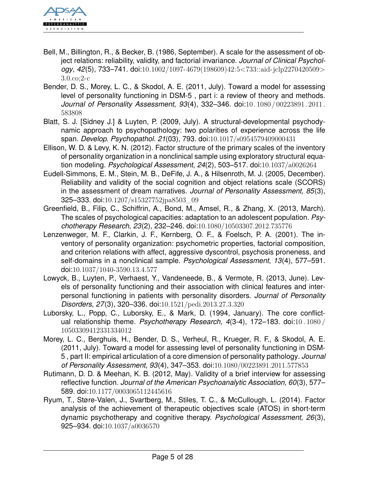

- Bell, M., Billington, R., & Becker, B. (1986, September). A scale for the assessment of object relations: reliability, validity, and factorial invariance. *Journal of Clinical Psychology*, *42*(5), 733–741. doi:[10.1002/1097-4679\(198609\)42:5<733::aid-jclp2270420509>](http://dx.doi.org/10.1002/1097-4679(198609)42:5<733::aid-jclp2270420509>3.0.co;2-c) [3.0.co;2-c](http://dx.doi.org/10.1002/1097-4679(198609)42:5<733::aid-jclp2270420509>3.0.co;2-c)
- Bender, D. S., Morey, L. C., & Skodol, A. E. (2011, July). Toward a model for assessing level of personality functioning in DSM-5 , part i: a review of theory and methods. *Journal of Personality Assessment*, *93*(4), 332–346. doi:[10. 1080 / 00223891. 2011.](http://dx.doi.org/10.1080/00223891.2011.583808) [583808](http://dx.doi.org/10.1080/00223891.2011.583808)
- Blatt, S. J. [Sidney J.] & Luyten, P. (2009, July). A structural-developmental psychodynamic approach to psychopathology: two polarities of experience across the life span. *Develop. Psychopathol. 21*(03), 793. doi:[10.1017/s0954579409000431](http://dx.doi.org/10.1017/s0954579409000431)
- Ellison, W. D. & Levy, K. N. (2012). Factor structure of the primary scales of the inventory of personality organization in a nonclinical sample using exploratory structural equation modeling. *Psychological Assessment*, *24*(2), 503–517. doi:[10.1037/a0026264](http://dx.doi.org/10.1037/a0026264)
- Eudell-Simmons, E. M., Stein, M. B., DeFife, J. A., & Hilsenroth, M. J. (2005, December). Reliability and validity of the social cognition and object relations scale (SCORS) in the assessment of dream narratives. *Journal of Personality Assessment*, *85*(3), 325–333. doi:[10.1207/s15327752jpa8503\\_09](http://dx.doi.org/10.1207/s15327752jpa8503_09)
- Greenfield, B., Filip, C., Schiffrin, A., Bond, M., Amsel, R., & Zhang, X. (2013, March). The scales of psychological capacities: adaptation to an adolescent population. *Psychotherapy Research*, *23*(2), 232–246. doi:[10.1080/10503307.2012.735776](http://dx.doi.org/10.1080/10503307.2012.735776)
- Lenzenweger, M. F., Clarkin, J. F., Kernberg, O. F., & Foelsch, P. A. (2001). The inventory of personality organization: psychometric properties, factorial composition, and criterion relations with affect, aggressive dyscontrol, psychosis proneness, and self-domains in a nonclinical sample. *Psychological Assessment*, *13*(4), 577–591. doi:[10.1037/1040-3590.13.4.577](http://dx.doi.org/10.1037/1040-3590.13.4.577)
- Lowyck, B., Luyten, P., Verhaest, Y., Vandeneede, B., & Vermote, R. (2013, June). Levels of personality functioning and their association with clinical features and interpersonal functioning in patients with personality disorders. *Journal of Personality Disorders*, *27*(3), 320–336. doi:[10.1521/pedi.2013.27.3.320](http://dx.doi.org/10.1521/pedi.2013.27.3.320)
- Luborsky, L., Popp, C., Luborsky, E., & Mark, D. (1994, January). The core conflictual relationship theme. *Psychotherapy Research*, *4*(3-4), 172–183. doi:[10 . 1080 /](http://dx.doi.org/10.1080/10503309412331334012) [10503309412331334012](http://dx.doi.org/10.1080/10503309412331334012)
- Morey, L. C., Berghuis, H., Bender, D. S., Verheul, R., Krueger, R. F., & Skodol, A. E. (2011, July). Toward a model for assessing level of personality functioning in DSM-5 , part II: empirical articulation of a core dimension of personality pathology. *Journal of Personality Assessment*, *93*(4), 347–353. doi:[10.1080/00223891.2011.577853](http://dx.doi.org/10.1080/00223891.2011.577853)
- Rutimann, D. D. & Meehan, K. B. (2012, May). Validity of a brief interview for assessing reflective function. *Journal of the American Psychoanalytic Association*, *60*(3), 577– 589. doi:[10.1177/0003065112445616](http://dx.doi.org/10.1177/0003065112445616)
- Ryum, T., Støre-Valen, J., Svartberg, M., Stiles, T. C., & McCullough, L. (2014). Factor analysis of the achievement of therapeutic objectives scale (ATOS) in short-term dynamic psychotherapy and cognitive therapy. *Psychological Assessment*, *26*(3), 925–934. doi:[10.1037/a0036570](http://dx.doi.org/10.1037/a0036570)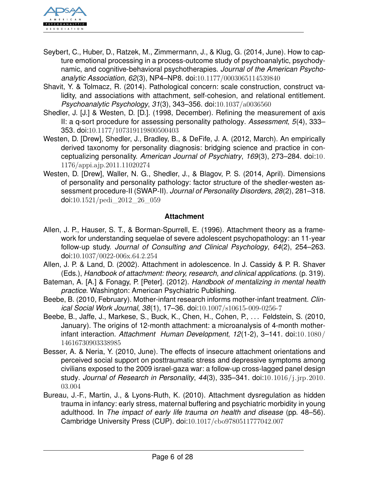

- Seybert, C., Huber, D., Ratzek, M., Zimmermann, J., & Klug, G. (2014, June). How to capture emotional processing in a process-outcome study of psychoanalytic, psychodynamic, and cognitive-behavioral psychotherapies. *Journal of the American Psychoanalytic Association*, *62*(3), NP4–NP8. doi:[10.1177/0003065114539840](http://dx.doi.org/10.1177/0003065114539840)
- Shavit, Y. & Tolmacz, R. (2014). Pathological concern: scale construction, construct validity, and associations with attachment, self-cohesion, and relational entitlement. *Psychoanalytic Psychology*, *31*(3), 343–356. doi:[10.1037/a0036560](http://dx.doi.org/10.1037/a0036560)
- Shedler, J. [J.] & Westen, D. [D.]. (1998, December). Refining the measurement of axis II: a q-sort procedure for assessing personality pathology. *Assessment*, *5*(4), 333– 353. doi:[10.1177/107319119800500403](http://dx.doi.org/10.1177/107319119800500403)
- Westen, D. [Drew], Shedler, J., Bradley, B., & DeFife, J. A. (2012, March). An empirically derived taxonomy for personality diagnosis: bridging science and practice in conceptualizing personality. *American Journal of Psychiatry*, *169*(3), 273–284. doi:[10.](http://dx.doi.org/10.1176/appi.ajp.2011.11020274) [1176/appi.ajp.2011.11020274](http://dx.doi.org/10.1176/appi.ajp.2011.11020274)
- Westen, D. [Drew], Waller, N. G., Shedler, J., & Blagov, P. S. (2014, April). Dimensions of personality and personality pathology: factor structure of the shedler-westen assessment procedure-II (SWAP-II). *Journal of Personality Disorders*, *28*(2), 281–318. doi:[10.1521/pedi\\_2012\\_26\\_059](http://dx.doi.org/10.1521/pedi_2012_26_059)

### <span id="page-5-0"></span>**Attachment**

- Allen, J. P., Hauser, S. T., & Borman-Spurrell, E. (1996). Attachment theory as a framework for understanding sequelae of severe adolescent psychopathology: an 11-year follow-up study. *Journal of Consulting and Clinical Psychology*, *64*(2), 254–263. doi:[10.1037/0022-006x.64.2.254](http://dx.doi.org/10.1037/0022-006x.64.2.254)
- Allen, J. P. & Land, D. (2002). Attachment in adolescence. In J. Cassidy & P. R. Shaver (Eds.), *Handbook of attachment: theory, research, and clinical applications.* (p. 319).
- Bateman, A. [A.] & Fonagy, P. [Peter]. (2012). *Handbook of mentalizing in mental health practice.* Washington: American Psychiatric Publishing.
- Beebe, B. (2010, February). Mother-infant research informs mother-infant treatment. *Clinical Social Work Journal*, *38*(1), 17–36. doi:[10.1007/s10615-009-0256-7](http://dx.doi.org/10.1007/s10615-009-0256-7)
- Beebe, B., Jaffe, J., Markese, S., Buck, K., Chen, H., Cohen, P., . . . Feldstein, S. (2010, January). The origins of 12-month attachment: a microanalysis of 4-month motherinfant interaction. *Attachment Human Development*, *12*(1-2), 3–141. doi:[10.1080/](http://dx.doi.org/10.1080/14616730903338985) [14616730903338985](http://dx.doi.org/10.1080/14616730903338985)
- Besser, A. & Neria, Y. (2010, June). The effects of insecure attachment orientations and perceived social support on posttraumatic stress and depressive symptoms among civilians exposed to the 2009 israel-gaza war: a follow-up cross-lagged panel design study. *Journal of Research in Personality*, *44*(3), 335–341. doi:[10.1016/j.jrp.2010.](http://dx.doi.org/10.1016/j.jrp.2010.03.004) [03.004](http://dx.doi.org/10.1016/j.jrp.2010.03.004)
- Bureau, J.-F., Martin, J., & Lyons-Ruth, K. (2010). Attachment dysregulation as hidden trauma in infancy: early stress, maternal buffering and psychiatric morbidity in young adulthood. In *The impact of early life trauma on health and disease* (pp. 48–56). Cambridge University Press (CUP). doi:[10.1017/cbo9780511777042.007](http://dx.doi.org/10.1017/cbo9780511777042.007)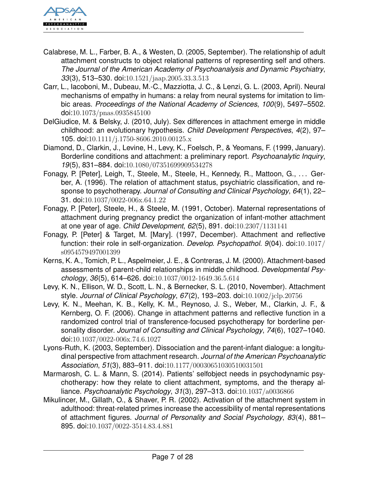

- Calabrese, M. L., Farber, B. A., & Westen, D. (2005, September). The relationship of adult attachment constructs to object relational patterns of representing self and others. *The Journal of the American Academy of Psychoanalysis and Dynamic Psychiatry*, *33*(3), 513–530. doi:[10.1521/jaap.2005.33.3.513](http://dx.doi.org/10.1521/jaap.2005.33.3.513)
- Carr, L., Iacoboni, M., Dubeau, M.-C., Mazziotta, J. C., & Lenzi, G. L. (2003, April). Neural mechanisms of empathy in humans: a relay from neural systems for imitation to limbic areas. *Proceedings of the National Academy of Sciences*, *100*(9), 5497–5502. doi:[10.1073/pnas.0935845100](http://dx.doi.org/10.1073/pnas.0935845100)
- DelGiudice, M. & Belsky, J. (2010, July). Sex differences in attachment emerge in middle childhood: an evolutionary hypothesis. *Child Development Perspectives*, *4*(2), 97– 105. doi:[10.1111/j.1750-8606.2010.00125.x](http://dx.doi.org/10.1111/j.1750-8606.2010.00125.x)
- Diamond, D., Clarkin, J., Levine, H., Levy, K., Foelsch, P., & Yeomans, F. (1999, January). Borderline conditions and attachment: a preliminary report. *Psychoanalytic Inquiry*, *19*(5), 831–884. doi:[10.1080/07351699909534278](http://dx.doi.org/10.1080/07351699909534278)
- Fonagy, P. [Peter], Leigh, T., Steele, M., Steele, H., Kennedy, R., Mattoon, G., . . . Gerber, A. (1996). The relation of attachment status, psychiatric classification, and response to psychotherapy. *Journal of Consulting and Clinical Psychology*, *64*(1), 22– 31. doi:[10.1037/0022-006x.64.1.22](http://dx.doi.org/10.1037/0022-006x.64.1.22)
- Fonagy, P. [Peter], Steele, H., & Steele, M. (1991, October). Maternal representations of attachment during pregnancy predict the organization of infant-mother attachment at one year of age. *Child Development*, *62*(5), 891. doi:[10.2307/1131141](http://dx.doi.org/10.2307/1131141)
- Fonagy, P. [Peter] & Target, M. [Mary]. (1997, December). Attachment and reflective function: their role in self-organization. *Develop. Psychopathol. 9*(04). doi:[10.1017/](http://dx.doi.org/10.1017/s0954579497001399) [s0954579497001399](http://dx.doi.org/10.1017/s0954579497001399)
- Kerns, K. A., Tomich, P. L., Aspelmeier, J. E., & Contreras, J. M. (2000). Attachment-based assessments of parent-child relationships in middle childhood. *Developmental Psychology*, *36*(5), 614–626. doi:[10.1037/0012-1649.36.5.614](http://dx.doi.org/10.1037/0012-1649.36.5.614)
- Levy, K. N., Ellison, W. D., Scott, L. N., & Bernecker, S. L. (2010, November). Attachment style. *Journal of Clinical Psychology*, *67*(2), 193–203. doi:[10.1002/jclp.20756](http://dx.doi.org/10.1002/jclp.20756)
- Levy, K. N., Meehan, K. B., Kelly, K. M., Reynoso, J. S., Weber, M., Clarkin, J. F., & Kernberg, O. F. (2006). Change in attachment patterns and reflective function in a randomized control trial of transference-focused psychotherapy for borderline personality disorder. *Journal of Consulting and Clinical Psychology*, *74*(6), 1027–1040. doi:[10.1037/0022-006x.74.6.1027](http://dx.doi.org/10.1037/0022-006x.74.6.1027)
- Lyons-Ruth, K. (2003, September). Dissociation and the parent-infant dialogue: a longitudinal perspective from attachment research. *Journal of the American Psychoanalytic Association*, *51*(3), 883–911. doi:[10.1177/00030651030510031501](http://dx.doi.org/10.1177/00030651030510031501)
- Marmarosh, C. L. & Mann, S. (2014). Patients' selfobject needs in psychodynamic psychotherapy: how they relate to client attachment, symptoms, and the therapy alliance. *Psychoanalytic Psychology*, *31*(3), 297–313. doi:[10.1037/a0036866](http://dx.doi.org/10.1037/a0036866)
- Mikulincer, M., Gillath, O., & Shaver, P. R. (2002). Activation of the attachment system in adulthood: threat-related primes increase the accessibility of mental representations of attachment figures. *Journal of Personality and Social Psychology*, *83*(4), 881– 895. doi:[10.1037/0022-3514.83.4.881](http://dx.doi.org/10.1037/0022-3514.83.4.881)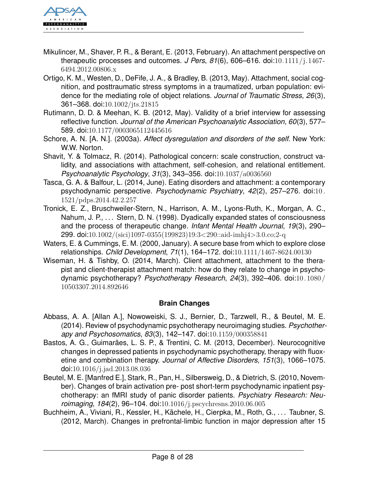

- Mikulincer, M., Shaver, P. R., & Berant, E. (2013, February). An attachment perspective on therapeutic processes and outcomes. *J Pers*, *81*(6), 606–616. doi:[10.1111/j.1467-](http://dx.doi.org/10.1111/j.1467-6494.2012.00806.x) [6494.2012.00806.x](http://dx.doi.org/10.1111/j.1467-6494.2012.00806.x)
- Ortigo, K. M., Westen, D., DeFife, J. A., & Bradley, B. (2013, May). Attachment, social cognition, and posttraumatic stress symptoms in a traumatized, urban population: evidence for the mediating role of object relations. *Journal of Traumatic Stress*, *26*(3), 361–368. doi:[10.1002/jts.21815](http://dx.doi.org/10.1002/jts.21815)
- Rutimann, D. D. & Meehan, K. B. (2012, May). Validity of a brief interview for assessing reflective function. *Journal of the American Psychoanalytic Association*, *60*(3), 577– 589. doi:[10.1177/0003065112445616](http://dx.doi.org/10.1177/0003065112445616)
- Schore, A. N. [A. N.]. (2003a). *Affect dysregulation and disorders of the self.* New York: W.W. Norton.
- Shavit, Y. & Tolmacz, R. (2014). Pathological concern: scale construction, construct validity, and associations with attachment, self-cohesion, and relational entitlement. *Psychoanalytic Psychology*, *31*(3), 343–356. doi:[10.1037/a0036560](http://dx.doi.org/10.1037/a0036560)
- Tasca, G. A. & Balfour, L. (2014, June). Eating disorders and attachment: a contemporary psychodynamic perspective. *Psychodynamic Psychiatry*, *42*(2), 257–276. doi:[10 .](http://dx.doi.org/10.1521/pdps.2014.42.2.257) [1521/pdps.2014.42.2.257](http://dx.doi.org/10.1521/pdps.2014.42.2.257)
- Tronick, E. Z., Bruschweiler-Stern, N., Harrison, A. M., Lyons-Ruth, K., Morgan, A. C., Nahum, J. P., ... Stern, D. N. (1998). Dyadically expanded states of consciousness and the process of therapeutic change. *Infant Mental Health Journal*, *19*(3), 290– 299. doi:[10.1002/\(sici\)1097-0355\(199823\)19:3<290::aid-imhj4>3.0.co;2-q](http://dx.doi.org/10.1002/(sici)1097-0355(199823)19:3<290::aid-imhj4>3.0.co;2-q)
- Waters, E. & Cummings, E. M. (2000, January). A secure base from which to explore close relationships. *Child Development*, *71*(1), 164–172. doi:[10.1111/1467-8624.00130](http://dx.doi.org/10.1111/1467-8624.00130)
- Wiseman, H. & Tishby, O. (2014, March). Client attachment, attachment to the therapist and client-therapist attachment match: how do they relate to change in psychodynamic psychotherapy? *Psychotherapy Research*, *24*(3), 392–406. doi:[10.1080/](http://dx.doi.org/10.1080/10503307.2014.892646) [10503307.2014.892646](http://dx.doi.org/10.1080/10503307.2014.892646)

### <span id="page-7-0"></span>**Brain Changes**

- Abbass, A. A. [Allan A.], Nowoweiski, S. J., Bernier, D., Tarzwell, R., & Beutel, M. E. (2014). Review of psychodynamic psychotherapy neuroimaging studies. *Psychotherapy and Psychosomatics*, *83*(3), 142–147. doi:[10.1159/000358841](http://dx.doi.org/10.1159/000358841)
- Bastos, A. G., Guimarães, L. S. P., & Trentini, C. M. (2013, December). Neurocognitive changes in depressed patients in psychodynamic psychotherapy, therapy with fluoxetine and combination therapy. *Journal of Affective Disorders*, *151*(3), 1066–1075. doi:[10.1016/j.jad.2013.08.036](http://dx.doi.org/10.1016/j.jad.2013.08.036)
- Beutel, M. E. [Manfred E.], Stark, R., Pan, H., Silbersweig, D., & Dietrich, S. (2010, November). Changes of brain activation pre- post short-term psychodynamic inpatient psychotherapy: an fMRI study of panic disorder patients. *Psychiatry Research: Neuroimaging*, *184*(2), 96–104. doi:[10.1016/j.pscychresns.2010.06.005](http://dx.doi.org/10.1016/j.pscychresns.2010.06.005)
- Buchheim, A., Viviani, R., Kessler, H., Kächele, H., Cierpka, M., Roth, G., . . . Taubner, S. (2012, March). Changes in prefrontal-limbic function in major depression after 15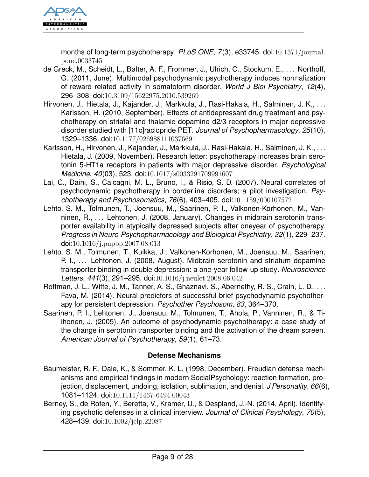

months of long-term psychotherapy. *PLoS ONE*, *7*(3), e33745. doi:[10.1371/journal.](http://dx.doi.org/10.1371/journal.pone.0033745) [pone.0033745](http://dx.doi.org/10.1371/journal.pone.0033745)

- de Greck, M., Scheidt, L., Bølter, A. F., Frommer, J., Ulrich, C., Stockum, E., . . . Northoff, G. (2011, June). Multimodal psychodynamic psychotherapy induces normalization of reward related activity in somatoform disorder. *World J Biol Psychiatry*, *12*(4), 296–308. doi:[10.3109/15622975.2010.539269](http://dx.doi.org/10.3109/15622975.2010.539269)
- Hirvonen, J., Hietala, J., Kajander, J., Markkula, J., Rasi-Hakala, H., Salminen, J. K., . . . Karlsson, H. (2010, September). Effects of antidepressant drug treatment and psychotherapy on striatal and thalamic dopamine d2/3 receptors in major depressive disorder studied with [11c]raclopride PET. *Journal of Psychopharmacology*, *25*(10), 1329–1336. doi:[10.1177/0269881110376691](http://dx.doi.org/10.1177/0269881110376691)
- Karlsson, H., Hirvonen, J., Kajander, J., Markkula, J., Rasi-Hakala, H., Salminen, J. K., . . . Hietala, J. (2009, November). Research letter: psychotherapy increases brain serotonin 5-HT1a receptors in patients with major depressive disorder. *Psychological Medicine*, *40*(03), 523. doi:[10.1017/s0033291709991607](http://dx.doi.org/10.1017/s0033291709991607)
- Lai, C., Daini, S., Calcagni, M. L., Bruno, I., & Risio, S. D. (2007). Neural correlates of psychodynamic psychotherapy in borderline disorders; a pilot investigation. *Psychotherapy and Psychosomatics*, *76*(6), 403–405. doi:[10.1159/000107572](http://dx.doi.org/10.1159/000107572)
- Lehto, S. M., Tolmunen, T., Joensuu, M., Saarinen, P. I., Valkonen-Korhonen, M., Vanninen, R., ... Lehtonen, J. (2008, January). Changes in midbrain serotonin transporter availability in atypically depressed subjects after oneyear of psychotherapy. *Progress in Neuro-Psychopharmacology and Biological Psychiatry*, *32*(1), 229–237. doi:[10.1016/j.pnpbp.2007.08.013](http://dx.doi.org/10.1016/j.pnpbp.2007.08.013)
- Lehto, S. M., Tolmunen, T., Kuikka, J., Valkonen-Korhonen, M., Joensuu, M., Saarinen, P. I., ... Lehtonen, J. (2008, August). Midbrain serotonin and striatum dopamine transporter binding in double depression: a one-year follow-up study. *Neuroscience Letters*, *441*(3), 291–295. doi:[10.1016/j.neulet.2008.06.042](http://dx.doi.org/10.1016/j.neulet.2008.06.042)
- Roffman, J. L., Witte, J. M., Tanner, A. S., Ghaznavi, S., Abernethy, R. S., Crain, L. D., ... Fava, M. (2014). Neural predictors of successful brief psychodynamic psychotherapy for persistent depression. *Psychother Psychosom*, *83*, 364–370.
- Saarinen, P. I., Lehtonen, J., Joensuu, M., Tolmunen, T., Ahola, P., Vanninen, R., & Tiihonen, J. (2005). An outcome of psychodynamic psychotherapy: a case study of the change in serotonin transporter binding and the activation of the dream screen. *American Journal of Psychotherapy*, *59*(1), 61–73.

## <span id="page-8-0"></span>**Defense Mechanisms**

- Baumeister, R. F., Dale, K., & Sommer, K. L. (1998, December). Freudian defense mechanisms and empirical findings in modern SocialPsychology: reaction formation, projection, displacement, undoing, isolation, sublimation, and denial. *J Personality*, *66*(6), 1081–1124. doi:[10.1111/1467-6494.00043](http://dx.doi.org/10.1111/1467-6494.00043)
- Berney, S., de Roten, Y., Beretta, V., Kramer, U., & Despland, J.-N. (2014, April). Identifying psychotic defenses in a clinical interview. *Journal of Clinical Psychology*, *70*(5), 428–439. doi:[10.1002/jclp.22087](http://dx.doi.org/10.1002/jclp.22087)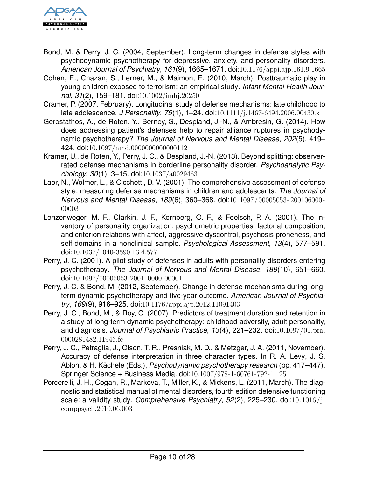

- Bond, M. & Perry, J. C. (2004, September). Long-term changes in defense styles with psychodynamic psychotherapy for depressive, anxiety, and personality disorders. *American Journal of Psychiatry*, *161*(9), 1665–1671. doi:[10.1176/appi.ajp.161.9.1665](http://dx.doi.org/10.1176/appi.ajp.161.9.1665)
- Cohen, E., Chazan, S., Lerner, M., & Maimon, E. (2010, March). Posttraumatic play in young children exposed to terrorism: an empirical study. *Infant Mental Health Journal*, *31*(2), 159–181. doi:[10.1002/imhj.20250](http://dx.doi.org/10.1002/imhj.20250)
- Cramer, P. (2007, February). Longitudinal study of defense mechanisms: late childhood to late adolescence. *J Personality*, *75*(1), 1–24. doi:[10.1111/j.1467-6494.2006.00430.x](http://dx.doi.org/10.1111/j.1467-6494.2006.00430.x)
- Gerostathos, A., de Roten, Y., Berney, S., Despland, J.-N., & Ambresin, G. (2014). How does addressing patient's defenses help to repair alliance ruptures in psychodynamic psychotherapy? *The Journal of Nervous and Mental Disease*, *202*(5), 419– 424. doi:[10.1097/nmd.0000000000000112](http://dx.doi.org/10.1097/nmd.0000000000000112)
- Kramer, U., de Roten, Y., Perry, J. C., & Despland, J.-N. (2013). Beyond splitting: observerrated defense mechanisms in borderline personality disorder. *Psychoanalytic Psychology*, *30*(1), 3–15. doi:[10.1037/a0029463](http://dx.doi.org/10.1037/a0029463)
- Laor, N., Wolmer, L., & Cicchetti, D. V. (2001). The comprehensive assessment of defense style: measuring defense mechanisms in children and adolescents. *The Journal of Nervous and Mental Disease*, *189*(6), 360–368. doi:[10.1097/00005053-200106000-](http://dx.doi.org/10.1097/00005053-200106000-00003) [00003](http://dx.doi.org/10.1097/00005053-200106000-00003)
- Lenzenweger, M. F., Clarkin, J. F., Kernberg, O. F., & Foelsch, P. A. (2001). The inventory of personality organization: psychometric properties, factorial composition, and criterion relations with affect, aggressive dyscontrol, psychosis proneness, and self-domains in a nonclinical sample. *Psychological Assessment*, *13*(4), 577–591. doi:[10.1037/1040-3590.13.4.577](http://dx.doi.org/10.1037/1040-3590.13.4.577)
- Perry, J. C. (2001). A pilot study of defenses in adults with personality disorders entering psychotherapy. *The Journal of Nervous and Mental Disease*, *189*(10), 651–660. doi:[10.1097/00005053-200110000-00001](http://dx.doi.org/10.1097/00005053-200110000-00001)
- Perry, J. C. & Bond, M. (2012, September). Change in defense mechanisms during longterm dynamic psychotherapy and five-year outcome. *American Journal of Psychiatry*, *169*(9), 916–925. doi:[10.1176/appi.ajp.2012.11091403](http://dx.doi.org/10.1176/appi.ajp.2012.11091403)
- Perry, J. C., Bond, M., & Roy, C. (2007). Predictors of treatment duration and retention in a study of long-term dynamic psychotherapy: childhood adversity, adult personality, and diagnosis. *Journal of Psychiatric Practice*, *13*(4), 221–232. doi:[10.1097/01.pra.](http://dx.doi.org/10.1097/01.pra.0000281482.11946.fc) [0000281482.11946.fc](http://dx.doi.org/10.1097/01.pra.0000281482.11946.fc)
- Perry, J. C., Petraglia, J., Olson, T. R., Presniak, M. D., & Metzger, J. A. (2011, November). Accuracy of defense interpretation in three character types. In R. A. Levy, J. S. Ablon, & H. Kächele (Eds.), *Psychodynamic psychotherapy research* (pp. 417–447). Springer Science + Business Media. doi:[10.1007/978-1-60761-792-1\\_25](http://dx.doi.org/10.1007/978-1-60761-792-1_25)
- Porcerelli, J. H., Cogan, R., Markova, T., Miller, K., & Mickens, L. (2011, March). The diagnostic and statistical manual of mental disorders, fourth edition defensive functioning scale: a validity study. *Comprehensive Psychiatry*, *52*(2), 225–230. doi:[10.1016/j.](http://dx.doi.org/10.1016/j.comppsych.2010.06.003) [comppsych.2010.06.003](http://dx.doi.org/10.1016/j.comppsych.2010.06.003)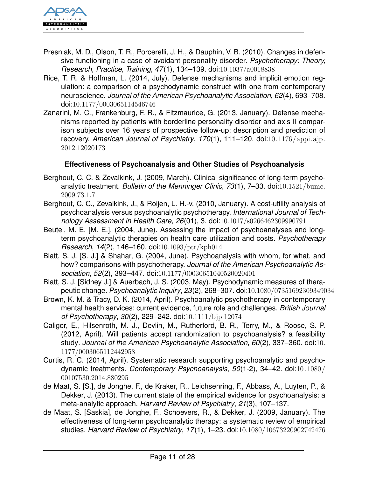

- Presniak, M. D., Olson, T. R., Porcerelli, J. H., & Dauphin, V. B. (2010). Changes in defensive functioning in a case of avoidant personality disorder. *Psychotherapy: Theory, Research, Practice, Training*, *47*(1), 134–139. doi:[10.1037/a0018838](http://dx.doi.org/10.1037/a0018838)
- Rice, T. R. & Hoffman, L. (2014, July). Defense mechanisms and implicit emotion regulation: a comparison of a psychodynamic construct with one from contemporary neuroscience. *Journal of the American Psychoanalytic Association*, *62*(4), 693–708. doi:[10.1177/0003065114546746](http://dx.doi.org/10.1177/0003065114546746)
- Zanarini, M. C., Frankenburg, F. R., & Fitzmaurice, G. (2013, January). Defense mechanisms reported by patients with borderline personality disorder and axis II comparison subjects over 16 years of prospective follow-up: description and prediction of recovery. *American Journal of Psychiatry*, *170*(1), 111–120. doi:[10.1176/appi.ajp.](http://dx.doi.org/10.1176/appi.ajp.2012.12020173) [2012.12020173](http://dx.doi.org/10.1176/appi.ajp.2012.12020173)

### <span id="page-10-0"></span>**Effectiveness of Psychoanalysis and Other Studies of Psychoanalysis**

- Berghout, C. C. & Zevalkink, J. (2009, March). Clinical significance of long-term psychoanalytic treatment. *Bulletin of the Menninger Clinic*, *73*(1), 7–33. doi:[10.1521/bumc.](http://dx.doi.org/10.1521/bumc.2009.73.1.7) [2009.73.1.7](http://dx.doi.org/10.1521/bumc.2009.73.1.7)
- Berghout, C. C., Zevalkink, J., & Roijen, L. H.-v. (2010, January). A cost-utility analysis of psychoanalysis versus psychoanalytic psychotherapy. *International Journal of Technology Assessment in Health Care*, *26*(01), 3. doi:[10.1017/s0266462309990791](http://dx.doi.org/10.1017/s0266462309990791)
- Beutel, M. E. [M. E.]. (2004, June). Assessing the impact of psychoanalyses and longterm psychoanalytic therapies on health care utilization and costs. *Psychotherapy Research*, *14*(2), 146–160. doi:[10.1093/ptr/kph014](http://dx.doi.org/10.1093/ptr/kph014)
- Blatt, S. J. [S. J.] & Shahar, G. (2004, June). Psychoanalysis with whom, for what, and how? comparisons with psychotherapy. *Journal of the American Psychoanalytic Association*, *52*(2), 393–447. doi:[10.1177/00030651040520020401](http://dx.doi.org/10.1177/00030651040520020401)
- Blatt, S. J. [Sidney J.] & Auerbach, J. S. (2003, May). Psychodynamic measures of therapeutic change. *Psychoanalytic Inquiry*, *23*(2), 268–307. doi:[10.1080/07351692309349034](http://dx.doi.org/10.1080/07351692309349034)
- Brown, K. M. & Tracy, D. K. (2014, April). Psychoanalytic psychotherapy in contemporary mental health services: current evidence, future role and challenges. *British Journal of Psychotherapy*, *30*(2), 229–242. doi:[10.1111/bjp.12074](http://dx.doi.org/10.1111/bjp.12074)
- Caligor, E., Hilsenroth, M. J., Devlin, M., Rutherford, B. R., Terry, M., & Roose, S. P. (2012, April). Will patients accept randomization to psychoanalysis? a feasibility study. *Journal of the American Psychoanalytic Association*, *60*(2), 337–360. doi:[10.](http://dx.doi.org/10.1177/0003065112442958) [1177/0003065112442958](http://dx.doi.org/10.1177/0003065112442958)
- Curtis, R. C. (2014, April). Systematic research supporting psychoanalytic and psychodynamic treatments. *Contemporary Psychoanalysis*, *50*(1-2), 34–42. doi:[10.1080/](http://dx.doi.org/10.1080/00107530.2014.880295) [00107530.2014.880295](http://dx.doi.org/10.1080/00107530.2014.880295)
- de Maat, S. [S.], de Jonghe, F., de Kraker, R., Leichsenring, F., Abbass, A., Luyten, P., & Dekker, J. (2013). The current state of the empirical evidence for psychoanalysis: a meta-analytic approach. *Harvard Review of Psychiatry*, *21*(3), 107–137.
- de Maat, S. [Saskia], de Jonghe, F., Schoevers, R., & Dekker, J. (2009, January). The effectiveness of long-term psychoanalytic therapy: a systematic review of empirical studies. *Harvard Review of Psychiatry*, *17*(1), 1–23. doi:[10.1080/10673220902742476](http://dx.doi.org/10.1080/10673220902742476)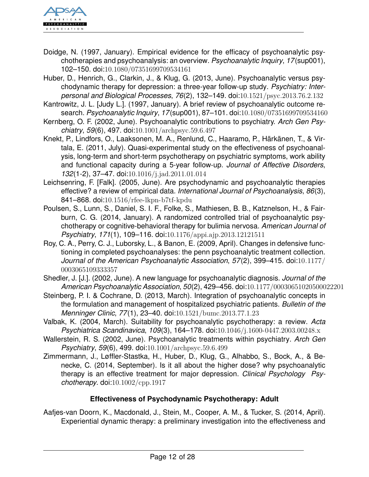

- Doidge, N. (1997, January). Empirical evidence for the efficacy of psychoanalytic psychotherapies and psychoanalysis: an overview. *Psychoanalytic Inquiry*, *17*(sup001), 102–150. doi:[10.1080/07351699709534161](http://dx.doi.org/10.1080/07351699709534161)
- Huber, D., Henrich, G., Clarkin, J., & Klug, G. (2013, June). Psychoanalytic versus psychodynamic therapy for depression: a three-year follow-up study. *Psychiatry: Interpersonal and Biological Processes*, *76*(2), 132–149. doi:[10.1521/psyc.2013.76.2.132](http://dx.doi.org/10.1521/psyc.2013.76.2.132)
- Kantrowitz, J. L. [Judy L.]. (1997, January). A brief review of psychoanalytic outcome research. *Psychoanalytic Inquiry*, *17*(sup001), 87–101. doi:[10.1080/07351699709534160](http://dx.doi.org/10.1080/07351699709534160)
- Kernberg, O. F. (2002, June). Psychoanalytic contributions to psychiatry. *Arch Gen Psychiatry*, *59*(6), 497. doi:[10.1001/archpsyc.59.6.497](http://dx.doi.org/10.1001/archpsyc.59.6.497)
- Knekt, P., Lindfors, O., Laaksonen, M. A., Renlund, C., Haaramo, P., Härkänen, T., & Virtala, E. (2011, July). Quasi-experimental study on the effectiveness of psychoanalysis, long-term and short-term psychotherapy on psychiatric symptoms, work ability and functional capacity during a 5-year follow-up. *Journal of Affective Disorders*, *132*(1-2), 37–47. doi:[10.1016/j.jad.2011.01.014](http://dx.doi.org/10.1016/j.jad.2011.01.014)
- Leichsenring, F. [Falk]. (2005, June). Are psychodynamic and psychoanalytic therapies effective? a review of empirical data. *International Journal of Psychoanalysis*, *86*(3), 841–868. doi:[10.1516/rfee-lkpn-b7tf-kpdu](http://dx.doi.org/10.1516/rfee-lkpn-b7tf-kpdu)
- Poulsen, S., Lunn, S., Daniel, S. I. F., Folke, S., Mathiesen, B. B., Katznelson, H., & Fairburn, C. G. (2014, January). A randomized controlled trial of psychoanalytic psychotherapy or cognitive-behavioral therapy for bulimia nervosa. *American Journal of Psychiatry*, *171*(1), 109–116. doi:[10.1176/appi.ajp.2013.12121511](http://dx.doi.org/10.1176/appi.ajp.2013.12121511)
- Roy, C. A., Perry, C. J., Luborsky, L., & Banon, E. (2009, April). Changes in defensive functioning in completed psychoanalyses: the penn psychoanalytic treatment collection. *Journal of the American Psychoanalytic Association*, *57*(2), 399–415. doi:[10.1177/](http://dx.doi.org/10.1177/0003065109333357) [0003065109333357](http://dx.doi.org/10.1177/0003065109333357)
- Shedler, J. [J.]. (2002, June). A new language for psychoanalytic diagnosis. *Journal of the American Psychoanalytic Association*, *50*(2), 429–456. doi:[10.1177/00030651020500022201](http://dx.doi.org/10.1177/00030651020500022201)
- Steinberg, P. I. & Cochrane, D. (2013, March). Integration of psychoanalytic concepts in the formulation and management of hospitalized psychiatric patients. *Bulletin of the Menninger Clinic*, *77*(1), 23–40. doi:[10.1521/bumc.2013.77.1.23](http://dx.doi.org/10.1521/bumc.2013.77.1.23)
- Valbak, K. (2004, March). Suitability for psychoanalytic psychotherapy: a review. *Acta Psychiatrica Scandinavica*, *109*(3), 164–178. doi:[10.1046/j.1600-0447.2003.00248.x](http://dx.doi.org/10.1046/j.1600-0447.2003.00248.x)
- Wallerstein, R. S. (2002, June). Psychoanalytic treatments within psychiatry. *Arch Gen Psychiatry*, *59*(6), 499. doi:[10.1001/archpsyc.59.6.499](http://dx.doi.org/10.1001/archpsyc.59.6.499)
- Zimmermann, J., Løffler-Stastka, H., Huber, D., Klug, G., Alhabbo, S., Bock, A., & Benecke, C. (2014, September). Is it all about the higher dose? why psychoanalytic therapy is an effective treatment for major depression. *Clinical Psychology Psychotherapy*. doi:[10.1002/cpp.1917](http://dx.doi.org/10.1002/cpp.1917)

## <span id="page-11-0"></span>**Effectiveness of Psychodynamic Psychotherapy: Adult**

Aafjes-van Doorn, K., Macdonald, J., Stein, M., Cooper, A. M., & Tucker, S. (2014, April). Experiential dynamic therapy: a preliminary investigation into the effectiveness and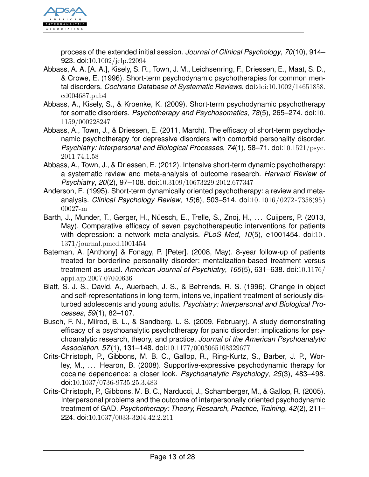

process of the extended initial session. *Journal of Clinical Psychology*, *70*(10), 914– 923. doi:[10.1002/jclp.22094](http://dx.doi.org/10.1002/jclp.22094)

- Abbass, A. A. [A. A.], Kisely, S. R., Town, J. M., Leichsenring, F., Driessen, E., Maat, S. D., & Crowe, E. (1996). Short-term psychodynamic psychotherapies for common mental disorders. *Cochrane Database of Systematic Reviews*. doi:[doi:10.1002/14651858.](http://dx.doi.org/doi:10.1002/14651858.cd004687.pub4) [cd004687.pub4](http://dx.doi.org/doi:10.1002/14651858.cd004687.pub4)
- Abbass, A., Kisely, S., & Kroenke, K. (2009). Short-term psychodynamic psychotherapy for somatic disorders. *Psychotherapy and Psychosomatics*, *78*(5), 265–274. doi:[10.](http://dx.doi.org/10.1159/000228247) [1159/000228247](http://dx.doi.org/10.1159/000228247)
- Abbass, A., Town, J., & Driessen, E. (2011, March). The efficacy of short-term psychodynamic psychotherapy for depressive disorders with comorbid personality disorder. *Psychiatry: Interpersonal and Biological Processes*, *74*(1), 58–71. doi:[10.1521/psyc.](http://dx.doi.org/10.1521/psyc.2011.74.1.58) [2011.74.1.58](http://dx.doi.org/10.1521/psyc.2011.74.1.58)
- Abbass, A., Town, J., & Driessen, E. (2012). Intensive short-term dynamic psychotherapy: a systematic review and meta-analysis of outcome research. *Harvard Review of Psychiatry*, *20*(2), 97–108. doi:[10.3109/10673229.2012.677347](http://dx.doi.org/10.3109/10673229.2012.677347)
- Anderson, E. (1995). Short-term dynamically oriented psychotherapy: a review and metaanalysis. *Clinical Psychology Review*, *15*(6), 503–514. doi:[10.1016/0272 - 7358\(95\)](http://dx.doi.org/10.1016/0272-7358(95)00027-m) [00027-m](http://dx.doi.org/10.1016/0272-7358(95)00027-m)
- Barth, J., Munder, T., Gerger, H., Nüesch, E., Trelle, S., Znoj, H., ... Cuijpers, P. (2013, May). Comparative efficacy of seven psychotherapeutic interventions for patients with depression: a network meta-analysis. *PLoS Med*, *10*(5), e1001454. doi:[10 .](http://dx.doi.org/10.1371/journal.pmed.1001454) [1371/journal.pmed.1001454](http://dx.doi.org/10.1371/journal.pmed.1001454)
- Bateman, A. [Anthony] & Fonagy, P. [Peter]. (2008, May). 8-year follow-up of patients treated for borderline personality disorder: mentalization-based treatment versus treatment as usual. *American Journal of Psychiatry*, *165*(5), 631–638. doi:[10.1176/](http://dx.doi.org/10.1176/appi.ajp.2007.07040636) [appi.ajp.2007.07040636](http://dx.doi.org/10.1176/appi.ajp.2007.07040636)
- Blatt, S. J. S., David, A., Auerbach, J. S., & Behrends, R. S. (1996). Change in object and self-representations in long-term, intensive, inpatient treatment of seriously disturbed adolescents and young adults. *Psychiatry: Interpersonal and Biological Processes*, *59*(1), 82–107.
- Busch, F. N., Milrod, B. L., & Sandberg, L. S. (2009, February). A study demonstrating efficacy of a psychoanalytic psychotherapy for panic disorder: implications for psychoanalytic research, theory, and practice. *Journal of the American Psychoanalytic Association*, *57*(1), 131–148. doi:[10.1177/0003065108329677](http://dx.doi.org/10.1177/0003065108329677)
- Crits-Christoph, P., Gibbons, M. B. C., Gallop, R., Ring-Kurtz, S., Barber, J. P., Worley, M., . . . Hearon, B. (2008). Supportive-expressive psychodynamic therapy for cocaine dependence: a closer look. *Psychoanalytic Psychology*, *25*(3), 483–498. doi:[10.1037/0736-9735.25.3.483](http://dx.doi.org/10.1037/0736-9735.25.3.483)
- Crits-Christoph, P., Gibbons, M. B. C., Narducci, J., Schamberger, M., & Gallop, R. (2005). Interpersonal problems and the outcome of interpersonally oriented psychodynamic treatment of GAD. *Psychotherapy: Theory, Research, Practice, Training*, *42*(2), 211– 224. doi:[10.1037/0033-3204.42.2.211](http://dx.doi.org/10.1037/0033-3204.42.2.211)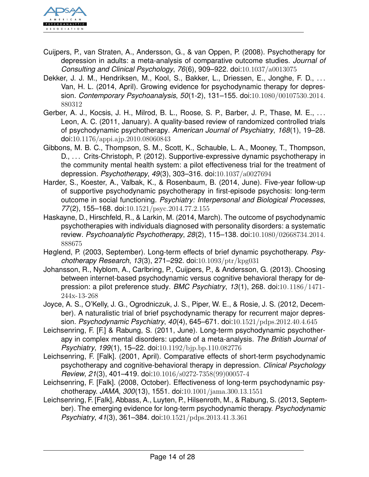

- Cuijpers, P., van Straten, A., Andersson, G., & van Oppen, P. (2008). Psychotherapy for depression in adults: a meta-analysis of comparative outcome studies. *Journal of Consulting and Clinical Psychology*, *76*(6), 909–922. doi:[10.1037/a0013075](http://dx.doi.org/10.1037/a0013075)
- Dekker, J. J. M., Hendriksen, M., Kool, S., Bakker, L., Driessen, E., Jonghe, F. D., ... Van, H. L. (2014, April). Growing evidence for psychodynamic therapy for depression. *Contemporary Psychoanalysis*, *50*(1-2), 131–155. doi:[10.1080/00107530.2014.](http://dx.doi.org/10.1080/00107530.2014.880312) [880312](http://dx.doi.org/10.1080/00107530.2014.880312)
- Gerber, A. J., Kocsis, J. H., Milrod, B. L., Roose, S. P., Barber, J. P., Thase, M. E., ... Leon, A. C. (2011, January). A quality-based review of randomized controlled trials of psychodynamic psychotherapy. *American Journal of Psychiatry*, *168*(1), 19–28. doi:[10.1176/appi.ajp.2010.08060843](http://dx.doi.org/10.1176/appi.ajp.2010.08060843)
- Gibbons, M. B. C., Thompson, S. M., Scott, K., Schauble, L. A., Mooney, T., Thompson, D., ... Crits-Christoph, P. (2012). Supportive-expressive dynamic psychotherapy in the community mental health system: a pilot effectiveness trial for the treatment of depression. *Psychotherapy*, *49*(3), 303–316. doi:[10.1037/a0027694](http://dx.doi.org/10.1037/a0027694)
- Harder, S., Koester, A., Valbak, K., & Rosenbaum, B. (2014, June). Five-year follow-up of supportive psychodynamic psychotherapy in first-episode psychosis: long-term outcome in social functioning. *Psychiatry: Interpersonal and Biological Processes*, *77*(2), 155–168. doi:[10.1521/psyc.2014.77.2.155](http://dx.doi.org/10.1521/psyc.2014.77.2.155)
- Haskayne, D., Hirschfeld, R., & Larkin, M. (2014, March). The outcome of psychodynamic psychotherapies with individuals diagnosed with personality disorders: a systematic review. *Psychoanalytic Psychotherapy*, *28*(2), 115–138. doi:[10.1080/02668734.2014.](http://dx.doi.org/10.1080/02668734.2014.888675) [888675](http://dx.doi.org/10.1080/02668734.2014.888675)
- Høglend, P. (2003, September). Long-term effects of brief dynamic psychotherapy. *Psychotherapy Research*, *13*(3), 271–292. doi:[10.1093/ptr/kpg031](http://dx.doi.org/10.1093/ptr/kpg031)
- Johansson, R., Nyblom, A., Carlbring, P., Cuijpers, P., & Andersson, G. (2013). Choosing between internet-based psychodynamic versus cognitive behavioral therapy for depression: a pilot preference study. *BMC Psychiatry*, *13*(1), 268. doi:[10.1186/1471-](http://dx.doi.org/10.1186/1471-244x-13-268) [244x-13-268](http://dx.doi.org/10.1186/1471-244x-13-268)
- Joyce, A. S., O'Kelly, J. G., Ogrodniczuk, J. S., Piper, W. E., & Rosie, J. S. (2012, December). A naturalistic trial of brief psychodynamic therapy for recurrent major depression. *Psychodynamic Psychiatry*, *40*(4), 645–671. doi:[10.1521/pdps.2012.40.4.645](http://dx.doi.org/10.1521/pdps.2012.40.4.645)
- Leichsenring, F. [F.] & Rabung, S. (2011, June). Long-term psychodynamic psychotherapy in complex mental disorders: update of a meta-analysis. *The British Journal of Psychiatry*, *199*(1), 15–22. doi:[10.1192/bjp.bp.110.082776](http://dx.doi.org/10.1192/bjp.bp.110.082776)
- Leichsenring, F. [Falk]. (2001, April). Comparative effects of short-term psychodynamic psychotherapy and cognitive-behavioral therapy in depression. *Clinical Psychology Review*, *21*(3), 401–419. doi:[10.1016/s0272-7358\(99\)00057-4](http://dx.doi.org/10.1016/s0272-7358(99)00057-4)
- Leichsenring, F. [Falk]. (2008, October). Effectiveness of long-term psychodynamic psychotherapy. *JAMA*, *300*(13), 1551. doi:[10.1001/jama.300.13.1551](http://dx.doi.org/10.1001/jama.300.13.1551)
- Leichsenring, F. [Falk], Abbass, A., Luyten, P., Hilsenroth, M., & Rabung, S. (2013, September). The emerging evidence for long-term psychodynamic therapy. *Psychodynamic Psychiatry*, *41*(3), 361–384. doi:[10.1521/pdps.2013.41.3.361](http://dx.doi.org/10.1521/pdps.2013.41.3.361)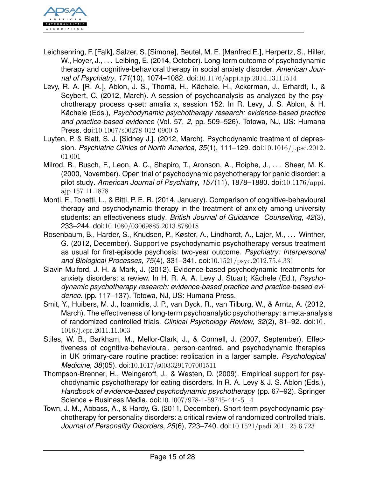

- Leichsenring, F. [Falk], Salzer, S. [Simone], Beutel, M. E. [Manfred E.], Herpertz, S., Hiller, W., Hoyer, J., ... Leibing, E. (2014, October). Long-term outcome of psychodynamic therapy and cognitive-behavioral therapy in social anxiety disorder. *American Journal of Psychiatry*, *171*(10), 1074–1082. doi:[10.1176/appi.ajp.2014.13111514](http://dx.doi.org/10.1176/appi.ajp.2014.13111514)
- Levy, R. A. [R. A.], Ablon, J. S., Thomä, H., Kächele, H., Ackerman, J., Erhardt, I., & Seybert, C. (2012, March). A session of psychoanalysis as analyzed by the psychotherapy process q-set: amalia x, session 152. In R. Levy, J. S. Ablon, & H. Kächele (Eds.), *Psychodynamic psychotherapy research: evidence-based practice and practice-based evidence* (Vol. 57, *2*, pp. 509–526). Totowa, NJ, US: Humana Press. doi:[10.1007/s00278-012-0900-5](http://dx.doi.org/10.1007/s00278-012-0900-5)
- Luyten, P. & Blatt, S. J. [Sidney J.]. (2012, March). Psychodynamic treatment of depression. *Psychiatric Clinics of North America*, *35*(1), 111–129. doi:[10.1016/j.psc.2012.](http://dx.doi.org/10.1016/j.psc.2012.01.001) [01.001](http://dx.doi.org/10.1016/j.psc.2012.01.001)
- Milrod, B., Busch, F., Leon, A. C., Shapiro, T., Aronson, A., Roiphe, J., ... Shear, M. K. (2000, November). Open trial of psychodynamic psychotherapy for panic disorder: a pilot study. *American Journal of Psychiatry*, *157*(11), 1878–1880. doi:[10.1176/appi.](http://dx.doi.org/10.1176/appi.ajp.157.11.1878) [ajp.157.11.1878](http://dx.doi.org/10.1176/appi.ajp.157.11.1878)
- Monti, F., Tonetti, L., & Bitti, P. E. R. (2014, January). Comparison of cognitive-behavioural therapy and psychodynamic therapy in the treatment of anxiety among university students: an effectiveness study. *British Journal of Guidance Counselling*, *42*(3), 233–244. doi:[10.1080/03069885.2013.878018](http://dx.doi.org/10.1080/03069885.2013.878018)
- Rosenbaum, B., Harder, S., Knudsen, P., Køster, A., Lindhardt, A., Lajer, M., . . . Winther, G. (2012, December). Supportive psychodynamic psychotherapy versus treatment as usual for first-episode psychosis: two-year outcome. *Psychiatry: Interpersonal and Biological Processes*, *75*(4), 331–341. doi:[10.1521/psyc.2012.75.4.331](http://dx.doi.org/10.1521/psyc.2012.75.4.331)
- Slavin-Mulford, J. H. & Mark, J. (2012). Evidence-based psychodynamic treatments for anxiety disorders: a review. In H. R. A. A. Levy J. Stuart; Kächele (Ed.), *Psychodynamic psychotherapy research: evidence-based practice and practice-based evidence.* (pp. 117–137). Totowa, NJ, US: Humana Press.
- Smit, Y., Huibers, M. J., Ioannidis, J. P., van Dyck, R., van Tilburg, W., & Arntz, A. (2012, March). The effectiveness of long-term psychoanalytic psychotherapy: a meta-analysis of randomized controlled trials. *Clinical Psychology Review*, *32*(2), 81–92. doi:[10.](http://dx.doi.org/10.1016/j.cpr.2011.11.003) [1016/j.cpr.2011.11.003](http://dx.doi.org/10.1016/j.cpr.2011.11.003)
- Stiles, W. B., Barkham, M., Mellor-Clark, J., & Connell, J. (2007, September). Effectiveness of cognitive-behavioural, person-centred, and psychodynamic therapies in UK primary-care routine practice: replication in a larger sample. *Psychological Medicine*, *38*(05). doi:[10.1017/s0033291707001511](http://dx.doi.org/10.1017/s0033291707001511)
- Thompson-Brenner, H., Weingeroff, J., & Westen, D. (2009). Empirical support for psychodynamic psychotherapy for eating disorders. In R. A. Levy & J. S. Ablon (Eds.), *Handbook of evidence-based psychodynamic psychotherapy* (pp. 67–92). Springer Science + Business Media. doi:[10.1007/978-1-59745-444-5\\_4](http://dx.doi.org/10.1007/978-1-59745-444-5_4)
- Town, J. M., Abbass, A., & Hardy, G. (2011, December). Short-term psychodynamic psychotherapy for personality disorders: a critical review of randomized controlled trials. *Journal of Personality Disorders*, *25*(6), 723–740. doi:[10.1521/pedi.2011.25.6.723](http://dx.doi.org/10.1521/pedi.2011.25.6.723)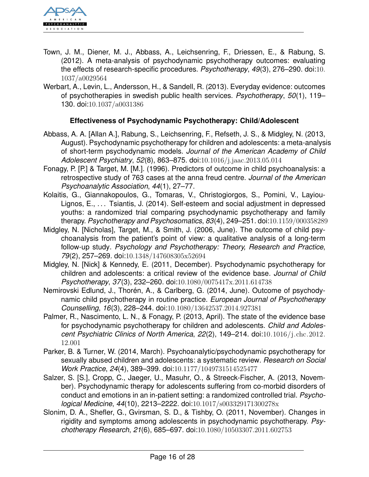

- Town, J. M., Diener, M. J., Abbass, A., Leichsenring, F., Driessen, E., & Rabung, S. (2012). A meta-analysis of psychodynamic psychotherapy outcomes: evaluating the effects of research-specific procedures. *Psychotherapy*, *49*(3), 276–290. doi:[10.](http://dx.doi.org/10.1037/a0029564) [1037/a0029564](http://dx.doi.org/10.1037/a0029564)
- Werbart, A., Levin, L., Andersson, H., & Sandell, R. (2013). Everyday evidence: outcomes of psychotherapies in swedish public health services. *Psychotherapy*, *50*(1), 119– 130. doi:[10.1037/a0031386](http://dx.doi.org/10.1037/a0031386)

## <span id="page-15-0"></span>**Effectiveness of Psychodynamic Psychotherapy: Child/Adolescent**

- Abbass, A. A. [Allan A.], Rabung, S., Leichsenring, F., Refseth, J. S., & Midgley, N. (2013, August). Psychodynamic psychotherapy for children and adolescents: a meta-analysis of short-term psychodynamic models. *Journal of the American Academy of Child Adolescent Psychiatry*, *52*(8), 863–875. doi:[10.1016/j.jaac.2013.05.014](http://dx.doi.org/10.1016/j.jaac.2013.05.014)
- Fonagy, P. [P.] & Target, M. [M.]. (1996). Predictors of outcome in child psychoanalysis: a retrospective study of 763 cases at the anna freud centre. *Journal of the American Psychoanalytic Association*, *44*(1), 27–77.
- Kolaitis, G., Giannakopoulos, G., Tomaras, V., Christogiorgos, S., Pomini, V., Layiou-Lignos, E., ... Tsiantis, J. (2014). Self-esteem and social adjustment in depressed youths: a randomized trial comparing psychodynamic psychotherapy and family therapy. *Psychotherapy and Psychosomatics*, *83*(4), 249–251. doi:[10.1159/000358289](http://dx.doi.org/10.1159/000358289)
- Midgley, N. [Nicholas], Target, M., & Smith, J. (2006, June). The outcome of child psychoanalysis from the patient's point of view: a qualitative analysis of a long-term follow-up study. *Psychology and Psychotherapy: Theory, Research and Practice*, *79*(2), 257–269. doi:[10.1348/147608305x52694](http://dx.doi.org/10.1348/147608305x52694)
- Midgley, N. [Nick] & Kennedy, E. (2011, December). Psychodynamic psychotherapy for children and adolescents: a critical review of the evidence base. *Journal of Child Psychotherapy*, *37*(3), 232–260. doi:[10.1080/0075417x.2011.614738](http://dx.doi.org/10.1080/0075417x.2011.614738)
- Nemirovski Edlund, J., Thorén, A., & Carlberg, G. (2014, June). Outcome of psychodynamic child psychotherapy in routine practice. *European Journal of Psychotherapy Counselling*, *16*(3), 228–244. doi:[10.1080/13642537.2014.927381](http://dx.doi.org/10.1080/13642537.2014.927381)
- Palmer, R., Nascimento, L. N., & Fonagy, P. (2013, April). The state of the evidence base for psychodynamic psychotherapy for children and adolescents. *Child and Adolescent Psychiatric Clinics of North America*, *22*(2), 149–214. doi:[10.1016/j.chc.2012.](http://dx.doi.org/10.1016/j.chc.2012.12.001) [12.001](http://dx.doi.org/10.1016/j.chc.2012.12.001)
- Parker, B. & Turner, W. (2014, March). Psychoanalytic/psychodynamic psychotherapy for sexually abused children and adolescents: a systematic review. *Research on Social Work Practice*, *24*(4), 389–399. doi:[10.1177/1049731514525477](http://dx.doi.org/10.1177/1049731514525477)
- Salzer, S. [S.], Cropp, C., Jaeger, U., Masuhr, O., & Streeck-Fischer, A. (2013, November). Psychodynamic therapy for adolescents suffering from co-morbid disorders of conduct and emotions in an in-patient setting: a randomized controlled trial. *Psychological Medicine*, *44*(10), 2213–2222. doi:[10.1017/s003329171300278x](http://dx.doi.org/10.1017/s003329171300278x)
- Slonim, D. A., Shefler, G., Gvirsman, S. D., & Tishby, O. (2011, November). Changes in rigidity and symptoms among adolescents in psychodynamic psychotherapy. *Psychotherapy Research*, *21*(6), 685–697. doi:[10.1080/10503307.2011.602753](http://dx.doi.org/10.1080/10503307.2011.602753)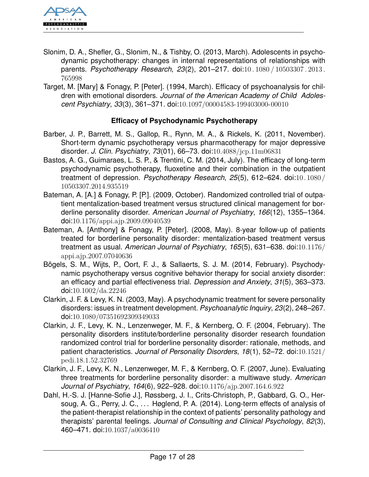

- Slonim, D. A., Shefler, G., Slonim, N., & Tishby, O. (2013, March). Adolescents in psychodynamic psychotherapy: changes in internal representations of relationships with parents. *Psychotherapy Research*, *23*(2), 201–217. doi:[10 . 1080 / 10503307 . 2013 .](http://dx.doi.org/10.1080/10503307.2013.765998) [765998](http://dx.doi.org/10.1080/10503307.2013.765998)
- Target, M. [Mary] & Fonagy, P. [Peter]. (1994, March). Efficacy of psychoanalysis for children with emotional disorders. *Journal of the American Academy of Child Adolescent Psychiatry*, *33*(3), 361–371. doi:[10.1097/00004583-199403000-00010](http://dx.doi.org/10.1097/00004583-199403000-00010)

## <span id="page-16-0"></span>**Efficacy of Psychodynamic Psychotherapy**

- Barber, J. P., Barrett, M. S., Gallop, R., Rynn, M. A., & Rickels, K. (2011, November). Short-term dynamic psychotherapy versus pharmacotherapy for major depressive disorder. *J. Clin. Psychiatry*, *73*(01), 66–73. doi:[10.4088/jcp.11m06831](http://dx.doi.org/10.4088/jcp.11m06831)
- Bastos, A. G., Guimaraes, L. S. P., & Trentini, C. M. (2014, July). The efficacy of long-term psychodynamic psychotherapy, fluoxetine and their combination in the outpatient treatment of depression. *Psychotherapy Research*, *25*(5), 612–624. doi:[10. 1080 /](http://dx.doi.org/10.1080/10503307.2014.935519) [10503307.2014.935519](http://dx.doi.org/10.1080/10503307.2014.935519)
- Bateman, A. [A.] & Fonagy, P. [P.]. (2009, October). Randomized controlled trial of outpatient mentalization-based treatment versus structured clinical management for borderline personality disorder. *American Journal of Psychiatry*, *166*(12), 1355–1364. doi:[10.1176/appi.ajp.2009.09040539](http://dx.doi.org/10.1176/appi.ajp.2009.09040539)
- Bateman, A. [Anthony] & Fonagy, P. [Peter]. (2008, May). 8-year follow-up of patients treated for borderline personality disorder: mentalization-based treatment versus treatment as usual. *American Journal of Psychiatry*, *165*(5), 631–638. doi:[10.1176/](http://dx.doi.org/10.1176/appi.ajp.2007.07040636) [appi.ajp.2007.07040636](http://dx.doi.org/10.1176/appi.ajp.2007.07040636)
- Bögels, S. M., Wijts, P., Oort, F. J., & Sallaerts, S. J. M. (2014, February). Psychodynamic psychotherapy versus cognitive behavior therapy for social anxiety disorder: an efficacy and partial effectiveness trial. *Depression and Anxiety*, *31*(5), 363–373. doi:[10.1002/da.22246](http://dx.doi.org/10.1002/da.22246)
- Clarkin, J. F. & Levy, K. N. (2003, May). A psychodynamic treatment for severe personality disorders: issues in treatment development. *Psychoanalytic Inquiry*, *23*(2), 248–267. doi:[10.1080/07351692309349033](http://dx.doi.org/10.1080/07351692309349033)
- Clarkin, J. F., Levy, K. N., Lenzenweger, M. F., & Kernberg, O. F. (2004, February). The personality disorders institute/borderline personality disorder research foundation randomized control trial for borderline personality disorder: rationale, methods, and patient characteristics. *Journal of Personality Disorders*, *18*(1), 52–72. doi:[10.1521/](http://dx.doi.org/10.1521/pedi.18.1.52.32769) [pedi.18.1.52.32769](http://dx.doi.org/10.1521/pedi.18.1.52.32769)
- Clarkin, J. F., Levy, K. N., Lenzenweger, M. F., & Kernberg, O. F. (2007, June). Evaluating three treatments for borderline personality disorder: a multiwave study. *American Journal of Psychiatry*, *164*(6), 922–928. doi:[10.1176/ajp.2007.164.6.922](http://dx.doi.org/10.1176/ajp.2007.164.6.922)
- Dahl, H.-S. J. [Hanne-Sofie J.], Røssberg, J. I., Crits-Christoph, P., Gabbard, G. O., Hersoug, A. G., Perry, J. C., ... Høglend, P. A. (2014). Long-term effects of analysis of the patient-therapist relationship in the context of patients' personality pathology and therapists' parental feelings. *Journal of Consulting and Clinical Psychology*, *82*(3), 460–471. doi:[10.1037/a0036410](http://dx.doi.org/10.1037/a0036410)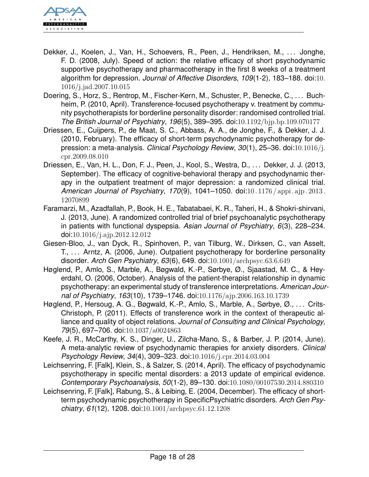

- Dekker, J., Koelen, J., Van, H., Schoevers, R., Peen, J., Hendriksen, M., . . . Jonghe, F. D. (2008, July). Speed of action: the relative efficacy of short psychodynamic supportive psychotherapy and pharmacotherapy in the first 8 weeks of a treatment algorithm for depression. *Journal of Affective Disorders*, *109*(1-2), 183–188. doi:[10.](http://dx.doi.org/10.1016/j.jad.2007.10.015) [1016/j.jad.2007.10.015](http://dx.doi.org/10.1016/j.jad.2007.10.015)
- Doering, S., Horz, S., Rentrop, M., Fischer-Kern, M., Schuster, P., Benecke, C., ... Buchheim, P. (2010, April). Transference-focused psychotherapy v. treatment by community psychotherapists for borderline personality disorder: randomised controlled trial. *The British Journal of Psychiatry*, *196*(5), 389–395. doi:[10.1192/bjp.bp.109.070177](http://dx.doi.org/10.1192/bjp.bp.109.070177)
- Driessen, E., Cuijpers, P., de Maat, S. C., Abbass, A. A., de Jonghe, F., & Dekker, J. J. (2010, February). The efficacy of short-term psychodynamic psychotherapy for depression: a meta-analysis. *Clinical Psychology Review*, *30*(1), 25–36. doi:[10.1016/j.](http://dx.doi.org/10.1016/j.cpr.2009.08.010) [cpr.2009.08.010](http://dx.doi.org/10.1016/j.cpr.2009.08.010)
- Driessen, E., Van, H. L., Don, F. J., Peen, J., Kool, S., Westra, D., . . . Dekker, J. J. (2013, September). The efficacy of cognitive-behavioral therapy and psychodynamic therapy in the outpatient treatment of major depression: a randomized clinical trial. *American Journal of Psychiatry*, *170*(9), 1041–1050. doi:[10. 1176 / appi. ajp. 2013.](http://dx.doi.org/10.1176/appi.ajp.2013.12070899) [12070899](http://dx.doi.org/10.1176/appi.ajp.2013.12070899)
- Faramarzi, M., Azadfallah, P., Book, H. E., Tabatabaei, K. R., Taheri, H., & Shokri-shirvani, J. (2013, June). A randomized controlled trial of brief psychoanalytic psychotherapy in patients with functional dyspepsia. *Asian Journal of Psychiatry*, *6*(3), 228–234. doi:[10.1016/j.ajp.2012.12.012](http://dx.doi.org/10.1016/j.ajp.2012.12.012)
- Giesen-Bloo, J., van Dyck, R., Spinhoven, P., van Tilburg, W., Dirksen, C., van Asselt, T., ... Arntz, A. (2006, June). Outpatient psychotherapy for borderline personality disorder. *Arch Gen Psychiatry*, *63*(6), 649. doi:[10.1001/archpsyc.63.6.649](http://dx.doi.org/10.1001/archpsyc.63.6.649)
- Høglend, P., Amlo, S., Marble, A., Bøgwald, K.-P., Sørbye, Ø., Sjaastad, M. C., & Heyerdahl, O. (2006, October). Analysis of the patient-therapist relationship in dynamic psychotherapy: an experimental study of transference interpretations. *American Journal of Psychiatry*, *163*(10), 1739–1746. doi:[10.1176/ajp.2006.163.10.1739](http://dx.doi.org/10.1176/ajp.2006.163.10.1739)
- Høglend, P., Hersoug, A. G., Bøgwald, K.-P., Amlo, S., Marble, A., Sørbye, Ø., . . . Crits-Christoph, P. (2011). Effects of transference work in the context of therapeutic alliance and quality of object relations. *Journal of Consulting and Clinical Psychology*, *79*(5), 697–706. doi:[10.1037/a0024863](http://dx.doi.org/10.1037/a0024863)
- Keefe, J. R., McCarthy, K. S., Dinger, U., Zilcha-Mano, S., & Barber, J. P. (2014, June). A meta-analytic review of psychodynamic therapies for anxiety disorders. *Clinical Psychology Review*, *34*(4), 309–323. doi:[10.1016/j.cpr.2014.03.004](http://dx.doi.org/10.1016/j.cpr.2014.03.004)
- Leichsenring, F. [Falk], Klein, S., & Salzer, S. (2014, April). The efficacy of psychodynamic psychotherapy in specific mental disorders: a 2013 update of empirical evidence. *Contemporary Psychoanalysis*, *50*(1-2), 89–130. doi:[10.1080/00107530.2014.880310](http://dx.doi.org/10.1080/00107530.2014.880310)
- Leichsenring, F. [Falk], Rabung, S., & Leibing, E. (2004, December). The efficacy of shortterm psychodynamic psychotherapy in SpecificPsychiatric disorders. *Arch Gen Psychiatry*, *61*(12), 1208. doi:[10.1001/archpsyc.61.12.1208](http://dx.doi.org/10.1001/archpsyc.61.12.1208)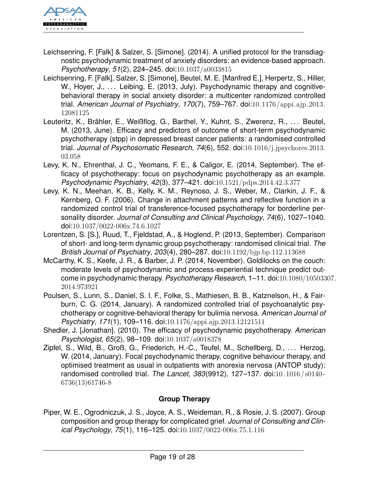

- Leichsenring, F. [Falk] & Salzer, S. [Simone]. (2014). A unified protocol for the transdiagnostic psychodynamic treatment of anxiety disorders: an evidence-based approach. *Psychotherapy*, *51*(2), 224–245. doi:[10.1037/a0033815](http://dx.doi.org/10.1037/a0033815)
- Leichsenring, F. [Falk], Salzer, S. [Simone], Beutel, M. E. [Manfred E.], Herpertz, S., Hiller, W., Hoyer, J., ... Leibing, E. (2013, July). Psychodynamic therapy and cognitivebehavioral therapy in social anxiety disorder: a multicenter randomized controlled trial. *American Journal of Psychiatry*, *170*(7), 759–767. doi:[10.1176/appi.ajp.2013.](http://dx.doi.org/10.1176/appi.ajp.2013.12081125) [12081125](http://dx.doi.org/10.1176/appi.ajp.2013.12081125)
- Leuteritz, K., Brähler, E., Weißflog, G., Barthel, Y., Kuhnt, S., Zwerenz, R., . . . Beutel, M. (2013, June). Efficacy and predictors of outcome of short-term psychodynamic psychotherapy (stpp) in depressed breast cancer patients: a randomised controlled trial. *Journal of Psychosomatic Research*, *74*(6), 552. doi:[10.1016/j.jpsychores.2013.](http://dx.doi.org/10.1016/j.jpsychores.2013.03.058) [03.058](http://dx.doi.org/10.1016/j.jpsychores.2013.03.058)
- Levy, K. N., Ehrenthal, J. C., Yeomans, F. E., & Caligor, E. (2014, September). The efficacy of psychotherapy: focus on psychodynamic psychotherapy as an example. *Psychodynamic Psychiatry*, *42*(3), 377–421. doi:[10.1521/pdps.2014.42.3.377](http://dx.doi.org/10.1521/pdps.2014.42.3.377)
- Levy, K. N., Meehan, K. B., Kelly, K. M., Reynoso, J. S., Weber, M., Clarkin, J. F., & Kernberg, O. F. (2006). Change in attachment patterns and reflective function in a randomized control trial of transference-focused psychotherapy for borderline personality disorder. *Journal of Consulting and Clinical Psychology*, *74*(6), 1027–1040. doi:[10.1037/0022-006x.74.6.1027](http://dx.doi.org/10.1037/0022-006x.74.6.1027)
- Lorentzen, S. [S.], Ruud, T., Fjeldstad, A., & Hoglend, P. (2013, September). Comparison of short- and long-term dynamic group psychotherapy: randomised clinical trial. *The British Journal of Psychiatry*, *203*(4), 280–287. doi:[10.1192/bjp.bp.112.113688](http://dx.doi.org/10.1192/bjp.bp.112.113688)
- McCarthy, K. S., Keefe, J. R., & Barber, J. P. (2014, November). Goldilocks on the couch: moderate levels of psychodynamic and process-experiential technique predict outcome in psychodynamic therapy. *Psychotherapy Research*, 1–11. doi:[10.1080/105033](http://dx.doi.org/10.1080/10503307.2014.973921)07. [2014.973921](http://dx.doi.org/10.1080/10503307.2014.973921)
- Poulsen, S., Lunn, S., Daniel, S. I. F., Folke, S., Mathiesen, B. B., Katznelson, H., & Fairburn, C. G. (2014, January). A randomized controlled trial of psychoanalytic psychotherapy or cognitive-behavioral therapy for bulimia nervosa. *American Journal of Psychiatry*, *171*(1), 109–116. doi:[10.1176/appi.ajp.2013.12121511](http://dx.doi.org/10.1176/appi.ajp.2013.12121511)
- Shedler, J. [Jonathan]. (2010). The efficacy of psychodynamic psychotherapy. *American Psychologist*, *65*(2), 98–109. doi:[10.1037/a0018378](http://dx.doi.org/10.1037/a0018378)
- Zipfel, S., Wild, B., Groß, G., Friederich, H.-C., Teufel, M., Schellberg, D., ... Herzog, W. (2014, January). Focal psychodynamic therapy, cognitive behaviour therapy, and optimised treatment as usual in outpatients with anorexia nervosa (ANTOP study): randomised controlled trial. *The Lancet*, *383*(9912), 127–137. doi:[10.1016/ s0140 -](http://dx.doi.org/10.1016/s0140-6736(13)61746-8) [6736\(13\)61746-8](http://dx.doi.org/10.1016/s0140-6736(13)61746-8)

## <span id="page-18-0"></span>**Group Therapy**

Piper, W. E., Ogrodniczuk, J. S., Joyce, A. S., Weideman, R., & Rosie, J. S. (2007). Group composition and group therapy for complicated grief. *Journal of Consulting and Clinical Psychology*, *75*(1), 116–125. doi:[10.1037/0022-006x.75.1.116](http://dx.doi.org/10.1037/0022-006x.75.1.116)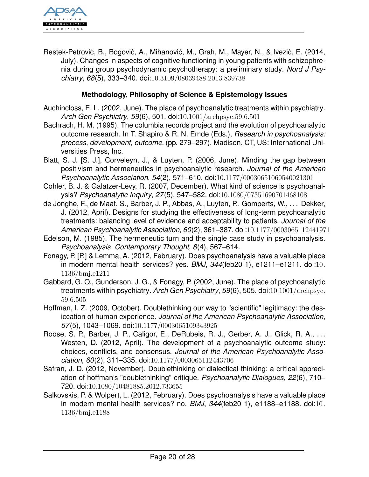

Restek-Petrović, B., Bogović, A., Mihanović, M., Grah, M., Mayer, N., & Ivezić, E. (2014, July). Changes in aspects of cognitive functioning in young patients with schizophrenia during group psychodynamic psychotherapy: a preliminary study. *Nord J Psychiatry*, *68*(5), 333–340. doi:[10.3109/08039488.2013.839738](http://dx.doi.org/10.3109/08039488.2013.839738)

## <span id="page-19-0"></span>**Methodology, Philosophy of Science & Epistemology Issues**

- Auchincloss, E. L. (2002, June). The place of psychoanalytic treatments within psychiatry. *Arch Gen Psychiatry*, *59*(6), 501. doi:[10.1001/archpsyc.59.6.501](http://dx.doi.org/10.1001/archpsyc.59.6.501)
- Bachrach, H. M. (1995). The columbia records project and the evolution of psychoanalytic outcome research. In T. Shapiro & R. N. Emde (Eds.), *Research in psychoanalysis: process, development, outcome.* (pp. 279–297). Madison, CT, US: International Universities Press, Inc.
- Blatt, S. J. [S. J.], Corveleyn, J., & Luyten, P. (2006, June). Minding the gap between positivism and hermeneutics in psychoanalytic research. *Journal of the American Psychoanalytic Association*, *54*(2), 571–610. doi:[10.1177/00030651060540021301](http://dx.doi.org/10.1177/00030651060540021301)
- Cohler, B. J. & Galatzer-Levy, R. (2007, December). What kind of science is psychoanalysis? *Psychoanalytic Inquiry*, *27*(5), 547–582. doi:[10.1080/07351690701468108](http://dx.doi.org/10.1080/07351690701468108)
- de Jonghe, F., de Maat, S., Barber, J. P., Abbas, A., Luyten, P., Gomperts, W., . . . Dekker, J. (2012, April). Designs for studying the effectiveness of long-term psychoanalytic treatments: balancing level of evidence and acceptability to patients. *Journal of the American Psychoanalytic Association*, *60*(2), 361–387. doi:[10.1177/0003065112441971](http://dx.doi.org/10.1177/0003065112441971)
- Edelson, M. (1985). The hermeneutic turn and the single case study in psychoanalysis. *Psychoanalysis Contemporary Thought*, *8*(4), 567–614.
- Fonagy, P. [P.] & Lemma, A. (2012, February). Does psychoanalysis have a valuable place in modern mental health services? yes. *BMJ*, *344*(feb20 1), e1211–e1211. doi:[10.](http://dx.doi.org/10.1136/bmj.e1211) [1136/bmj.e1211](http://dx.doi.org/10.1136/bmj.e1211)
- Gabbard, G. O., Gunderson, J. G., & Fonagy, P. (2002, June). The place of psychoanalytic treatments within psychiatry. *Arch Gen Psychiatry*, *59*(6), 505. doi:[10.1001/archpsyc.](http://dx.doi.org/10.1001/archpsyc.59.6.505) [59.6.505](http://dx.doi.org/10.1001/archpsyc.59.6.505)
- Hoffman, I. Z. (2009, October). Doublethinking our way to "scientific" legitimacy: the desiccation of human experience. *Journal of the American Psychoanalytic Association*, *57*(5), 1043–1069. doi:[10.1177/0003065109343925](http://dx.doi.org/10.1177/0003065109343925)
- Roose, S. P., Barber, J. P., Caligor, E., DeRubeis, R. J., Gerber, A. J., Glick, R. A., ... Westen, D. (2012, April). The development of a psychoanalytic outcome study: choices, conflicts, and consensus. *Journal of the American Psychoanalytic Association*, *60*(2), 311–335. doi:[10.1177/0003065112443706](http://dx.doi.org/10.1177/0003065112443706)
- Safran, J. D. (2012, November). Doublethinking or dialectical thinking: a critical appreciation of hoffman's "doublethinking" critique. *Psychoanalytic Dialogues*, *22*(6), 710– 720. doi:[10.1080/10481885.2012.733655](http://dx.doi.org/10.1080/10481885.2012.733655)
- Salkovskis, P. & Wolpert, L. (2012, February). Does psychoanalysis have a valuable place in modern mental health services? no. *BMJ*, *344*(feb20 1), e1188–e1188. doi:[10.](http://dx.doi.org/10.1136/bmj.e1188) [1136/bmj.e1188](http://dx.doi.org/10.1136/bmj.e1188)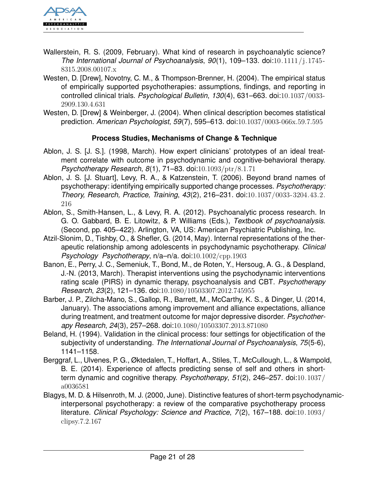

- Wallerstein, R. S. (2009, February). What kind of research in psychoanalytic science? *The International Journal of Psychoanalysis*, *90*(1), 109–133. doi:[10.1111/j.1745 -](http://dx.doi.org/10.1111/j.1745-8315.2008.00107.x) [8315.2008.00107.x](http://dx.doi.org/10.1111/j.1745-8315.2008.00107.x)
- Westen, D. [Drew], Novotny, C. M., & Thompson-Brenner, H. (2004). The empirical status of empirically supported psychotherapies: assumptions, findings, and reporting in controlled clinical trials. *Psychological Bulletin*, *130*(4), 631–663. doi:[10.1037/0033-](http://dx.doi.org/10.1037/0033-2909.130.4.631) [2909.130.4.631](http://dx.doi.org/10.1037/0033-2909.130.4.631)
- Westen, D. [Drew] & Weinberger, J. (2004). When clinical description becomes statistical prediction. *American Psychologist*, *59*(7), 595–613. doi:[10.1037/0003-066x.59.7.595](http://dx.doi.org/10.1037/0003-066x.59.7.595)

## <span id="page-20-0"></span>**Process Studies, Mechanisms of Change & Technique**

- Ablon, J. S. [J. S.]. (1998, March). How expert clinicians' prototypes of an ideal treatment correlate with outcome in psychodynamic and cognitive-behavioral therapy. *Psychotherapy Research*, *8*(1), 71–83. doi:[10.1093/ptr/8.1.71](http://dx.doi.org/10.1093/ptr/8.1.71)
- Ablon, J. S. [J. Stuart], Levy, R. A., & Katzenstein, T. (2006). Beyond brand names of psychotherapy: identifying empirically supported change processes. *Psychotherapy: Theory, Research, Practice, Training*, *43*(2), 216–231. doi:[10.1037/0033-3204.43.2.](http://dx.doi.org/10.1037/0033-3204.43.2.216) [216](http://dx.doi.org/10.1037/0033-3204.43.2.216)
- Ablon, S., Smith-Hansen, L., & Levy, R. A. (2012). Psychoanalytic process research. In G. O. Gabbard, B. E. Litowitz, & P. Williams (Eds.), *Textbook of psychoanalysis.* (Second, pp. 405–422). Arlington, VA, US: American Psychiatric Publishing, Inc.
- Atzil-Slonim, D., Tishby, O., & Shefler, G. (2014, May). Internal representations of the therapeutic relationship among adolescents in psychodynamic psychotherapy. *Clinical Psychology Psychotherapy*, n/a–n/a. doi:[10.1002/cpp.1903](http://dx.doi.org/10.1002/cpp.1903)
- Banon, E., Perry, J. C., Semeniuk, T., Bond, M., de Roten, Y., Hersoug, A. G., & Despland, J.-N. (2013, March). Therapist interventions using the psychodynamic interventions rating scale (PIRS) in dynamic therapy, psychoanalysis and CBT. *Psychotherapy Research*, *23*(2), 121–136. doi:[10.1080/10503307.2012.745955](http://dx.doi.org/10.1080/10503307.2012.745955)
- Barber, J. P., Zilcha-Mano, S., Gallop, R., Barrett, M., McCarthy, K. S., & Dinger, U. (2014, January). The associations among improvement and alliance expectations, alliance during treatment, and treatment outcome for major depressive disorder. *Psychotherapy Research*, *24*(3), 257–268. doi:[10.1080/10503307.2013.871080](http://dx.doi.org/10.1080/10503307.2013.871080)
- Beland, H. (1994). Validation in the clinical process: four settings for objectification of the subjectivity of understanding. *The International Journal of Psychoanalysis*, *75*(5-6), 1141–1158.
- Berggraf, L., Ulvenes, P. G., Øktedalen, T., Hoffart, A., Stiles, T., McCullough, L., & Wampold, B. E. (2014). Experience of affects predicting sense of self and others in shortterm dynamic and cognitive therapy. *Psychotherapy*, *51*(2), 246–257. doi:[10.1037/](http://dx.doi.org/10.1037/a0036581) [a0036581](http://dx.doi.org/10.1037/a0036581)
- Blagys, M. D. & Hilsenroth, M. J. (2000, June). Distinctive features of short-term psychodynamicinterpersonal psychotherapy: a review of the comparative psychotherapy process literature. *Clinical Psychology: Science and Practice*, *7*(2), 167–188. doi:[10.1093/](http://dx.doi.org/10.1093/clipsy.7.2.167) [clipsy.7.2.167](http://dx.doi.org/10.1093/clipsy.7.2.167)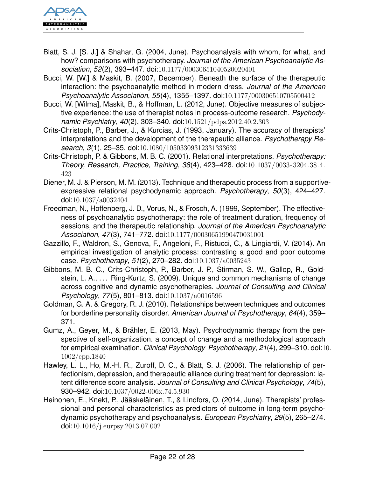

- Blatt, S. J. [S. J.] & Shahar, G. (2004, June). Psychoanalysis with whom, for what, and how? comparisons with psychotherapy. *Journal of the American Psychoanalytic Association*, *52*(2), 393–447. doi:[10.1177/00030651040520020401](http://dx.doi.org/10.1177/00030651040520020401)
- Bucci, W. [W.] & Maskit, B. (2007, December). Beneath the surface of the therapeutic interaction: the psychoanalytic method in modern dress. *Journal of the American Psychoanalytic Association*, *55*(4), 1355–1397. doi:[10.1177/000306510705500412](http://dx.doi.org/10.1177/000306510705500412)
- Bucci, W. [Wilma], Maskit, B., & Hoffman, L. (2012, June). Objective measures of subjective experience: the use of therapist notes in process-outcome research. *Psychodynamic Psychiatry*, *40*(2), 303–340. doi:[10.1521/pdps.2012.40.2.303](http://dx.doi.org/10.1521/pdps.2012.40.2.303)
- Crits-Christoph, P., Barber, J., & Kurcias, J. (1993, January). The accuracy of therapists' interpretations and the development of the therapeutic alliance. *Psychotherapy Research*, *3*(1), 25–35. doi:[10.1080/10503309312331333639](http://dx.doi.org/10.1080/10503309312331333639)
- Crits-Christoph, P. & Gibbons, M. B. C. (2001). Relational interpretations. *Psychotherapy: Theory, Research, Practice, Training*, *38*(4), 423–428. doi:[10.1037/0033-3204.38.4.](http://dx.doi.org/10.1037/0033-3204.38.4.423) [423](http://dx.doi.org/10.1037/0033-3204.38.4.423)
- Diener, M. J. & Pierson, M. M. (2013). Technique and therapeutic process from a supportiveexpressive relational psychodynamic approach. *Psychotherapy*, *50*(3), 424–427. doi:[10.1037/a0032404](http://dx.doi.org/10.1037/a0032404)
- Freedman, N., Hoffenberg, J. D., Vorus, N., & Frosch, A. (1999, September). The effectiveness of psychoanalytic psychotherapy: the role of treatment duration, frequency of sessions, and the therapeutic relationship. *Journal of the American Psychoanalytic Association*, *47*(3), 741–772. doi:[10.1177/00030651990470031001](http://dx.doi.org/10.1177/00030651990470031001)
- Gazzillo, F., Waldron, S., Genova, F., Angeloni, F., Ristucci, C., & Lingiardi, V. (2014). An empirical investigation of analytic process: contrasting a good and poor outcome case. *Psychotherapy*, *51*(2), 270–282. doi:[10.1037/a0035243](http://dx.doi.org/10.1037/a0035243)
- Gibbons, M. B. C., Crits-Christoph, P., Barber, J. P., Stirman, S. W., Gallop, R., Goldstein, L. A., . . . Ring-Kurtz, S. (2009). Unique and common mechanisms of change across cognitive and dynamic psychotherapies. *Journal of Consulting and Clinical Psychology*, *77*(5), 801–813. doi:[10.1037/a0016596](http://dx.doi.org/10.1037/a0016596)
- Goldman, G. A. & Gregory, R. J. (2010). Relationships between techniques and outcomes for borderline personality disorder. *American Journal of Psychotherapy*, *64*(4), 359– 371.
- Gumz, A., Geyer, M., & Brähler, E. (2013, May). Psychodynamic therapy from the perspective of self-organization. a concept of change and a methodological approach for empirical examination. *Clinical Psychology Psychotherapy*, *21*(4), 299–310. doi:[10](http://dx.doi.org/10.1002/cpp.1840). [1002/cpp.1840](http://dx.doi.org/10.1002/cpp.1840)
- Hawley, L. L., Ho, M.-H. R., Zuroff, D. C., & Blatt, S. J. (2006). The relationship of perfectionism, depression, and therapeutic alliance during treatment for depression: latent difference score analysis. *Journal of Consulting and Clinical Psychology*, *74*(5), 930–942. doi:[10.1037/0022-006x.74.5.930](http://dx.doi.org/10.1037/0022-006x.74.5.930)
- Heinonen, E., Knekt, P., Jääskeläinen, T., & Lindfors, O. (2014, June). Therapists' professional and personal characteristics as predictors of outcome in long-term psychodynamic psychotherapy and psychoanalysis. *European Psychiatry*, *29*(5), 265–274. doi:[10.1016/j.eurpsy.2013.07.002](http://dx.doi.org/10.1016/j.eurpsy.2013.07.002)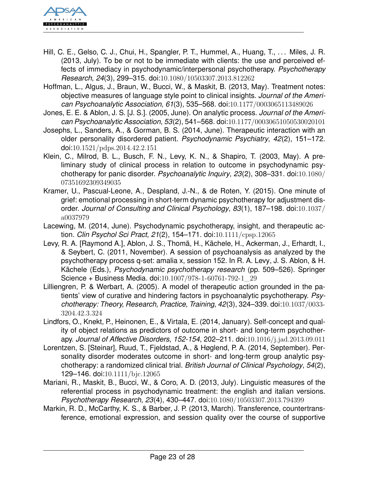

- Hill, C. E., Gelso, C. J., Chui, H., Spangler, P. T., Hummel, A., Huang, T., . . . Miles, J. R. (2013, July). To be or not to be immediate with clients: the use and perceived effects of immediacy in psychodynamic/interpersonal psychotherapy. *Psychotherapy Research*, *24*(3), 299–315. doi:[10.1080/10503307.2013.812262](http://dx.doi.org/10.1080/10503307.2013.812262)
- Hoffman, L., Algus, J., Braun, W., Bucci, W., & Maskit, B. (2013, May). Treatment notes: objective measures of language style point to clinical insights. *Journal of the American Psychoanalytic Association*, *61*(3), 535–568. doi:[10.1177/0003065113489026](http://dx.doi.org/10.1177/0003065113489026)
- Jones, E. E. & Ablon, J. S. [J. S.]. (2005, June). On analytic process. *Journal of the American Psychoanalytic Association*, *53*(2), 541–568. doi:[10.1177/00030651050530020101](http://dx.doi.org/10.1177/00030651050530020101)
- Josephs, L., Sanders, A., & Gorman, B. S. (2014, June). Therapeutic interaction with an older personality disordered patient. *Psychodynamic Psychiatry*, *42*(2), 151–172. doi:[10.1521/pdps.2014.42.2.151](http://dx.doi.org/10.1521/pdps.2014.42.2.151)
- Klein, C., Milrod, B. L., Busch, F. N., Levy, K. N., & Shapiro, T. (2003, May). A preliminary study of clinical process in relation to outcome in psychodynamic psychotherapy for panic disorder. *Psychoanalytic Inquiry*, *23*(2), 308–331. doi:[10.1080/](http://dx.doi.org/10.1080/07351692309349035) [07351692309349035](http://dx.doi.org/10.1080/07351692309349035)
- Kramer, U., Pascual-Leone, A., Despland, J.-N., & de Roten, Y. (2015). One minute of grief: emotional processing in short-term dynamic psychotherapy for adjustment disorder. *Journal of Consulting and Clinical Psychology*, *83*(1), 187–198. doi:[10.1037/](http://dx.doi.org/10.1037/a0037979) [a0037979](http://dx.doi.org/10.1037/a0037979)
- Lacewing, M. (2014, June). Psychodynamic psychotherapy, insight, and therapeutic action. *Clin Psychol Sci Pract*, *21*(2), 154–171. doi:[10.1111/cpsp.12065](http://dx.doi.org/10.1111/cpsp.12065)
- Levy, R. A. [Raymond A.], Ablon, J. S., Thomä, H., Kächele, H., Ackerman, J., Erhardt, I., & Seybert, C. (2011, November). A session of psychoanalysis as analyzed by the psychotherapy process q-set: amalia x, session 152. In R. A. Levy, J. S. Ablon, & H. Kächele (Eds.), *Psychodynamic psychotherapy research* (pp. 509–526). Springer Science + Business Media. doi:[10.1007/978-1-60761-792-1\\_29](http://dx.doi.org/10.1007/978-1-60761-792-1_29)
- Lilliengren, P. & Werbart, A. (2005). A model of therapeutic action grounded in the patients' view of curative and hindering factors in psychoanalytic psychotherapy. *Psychotherapy: Theory, Research, Practice, Training*, *42*(3), 324–339. doi:[10.1037/0033-](http://dx.doi.org/10.1037/0033-3204.42.3.324) [3204.42.3.324](http://dx.doi.org/10.1037/0033-3204.42.3.324)
- Lindfors, O., Knekt, P., Heinonen, E., & Virtala, E. (2014, January). Self-concept and quality of object relations as predictors of outcome in short- and long-term psychotherapy. *Journal of Affective Disorders*, *152-154*, 202–211. doi:[10.1016/j.jad.2013.09.011](http://dx.doi.org/10.1016/j.jad.2013.09.011)
- Lorentzen, S. [Steinar], Ruud, T., Fjeldstad, A., & Høglend, P. A. (2014, September). Personality disorder moderates outcome in short- and long-term group analytic psychotherapy: a randomized clinical trial. *British Journal of Clinical Psychology*, *54*(2), 129–146. doi:[10.1111/bjc.12065](http://dx.doi.org/10.1111/bjc.12065)
- Mariani, R., Maskit, B., Bucci, W., & Coro, A. D. (2013, July). Linguistic measures of the referential process in psychodynamic treatment: the english and italian versions. *Psychotherapy Research*, *23*(4), 430–447. doi:[10.1080/10503307.2013.794399](http://dx.doi.org/10.1080/10503307.2013.794399)
- Markin, R. D., McCarthy, K. S., & Barber, J. P. (2013, March). Transference, countertransference, emotional expression, and session quality over the course of supportive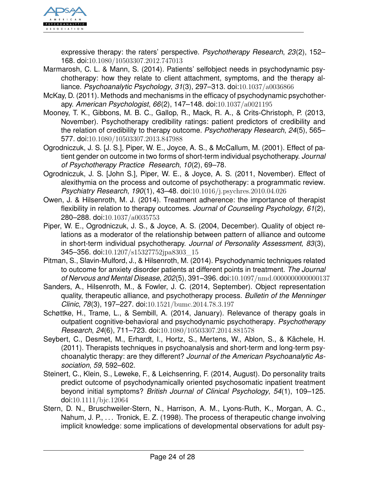

expressive therapy: the raters' perspective. *Psychotherapy Research*, *23*(2), 152– 168. doi:[10.1080/10503307.2012.747013](http://dx.doi.org/10.1080/10503307.2012.747013)

- Marmarosh, C. L. & Mann, S. (2014). Patients' selfobject needs in psychodynamic psychotherapy: how they relate to client attachment, symptoms, and the therapy alliance. *Psychoanalytic Psychology*, *31*(3), 297–313. doi:[10.1037/a0036866](http://dx.doi.org/10.1037/a0036866)
- McKay, D. (2011). Methods and mechanisms in the efficacy of psychodynamic psychotherapy. *American Psychologist*, *66*(2), 147–148. doi:[10.1037/a0021195](http://dx.doi.org/10.1037/a0021195)
- Mooney, T. K., Gibbons, M. B. C., Gallop, R., Mack, R. A., & Crits-Christoph, P. (2013, November). Psychotherapy credibility ratings: patient predictors of credibility and the relation of credibility to therapy outcome. *Psychotherapy Research*, *24*(5), 565– 577. doi:[10.1080/10503307.2013.847988](http://dx.doi.org/10.1080/10503307.2013.847988)
- Ogrodniczuk, J. S. [J. S.], Piper, W. E., Joyce, A. S., & McCallum, M. (2001). Effect of patient gender on outcome in two forms of short-term individual psychotherapy. *Journal of Psychotherapy Practice Research*, *10*(2), 69–78.
- Ogrodniczuk, J. S. [John S.], Piper, W. E., & Joyce, A. S. (2011, November). Effect of alexithymia on the process and outcome of psychotherapy: a programmatic review. *Psychiatry Research*, *190*(1), 43–48. doi:[10.1016/j.psychres.2010.04.026](http://dx.doi.org/10.1016/j.psychres.2010.04.026)
- Owen, J. & Hilsenroth, M. J. (2014). Treatment adherence: the importance of therapist flexibility in relation to therapy outcomes. *Journal of Counseling Psychology*, *61*(2), 280–288. doi:[10.1037/a0035753](http://dx.doi.org/10.1037/a0035753)
- Piper, W. E., Ogrodniczuk, J. S., & Joyce, A. S. (2004, December). Quality of object relations as a moderator of the relationship between pattern of alliance and outcome in short-term individual psychotherapy. *Journal of Personality Assessment*, *83*(3), 345–356. doi:[10.1207/s15327752jpa8303\\_15](http://dx.doi.org/10.1207/s15327752jpa8303_15)
- Pitman, S., Slavin-Mulford, J., & Hilsenroth, M. (2014). Psychodynamic techniques related to outcome for anxiety disorder patients at different points in treatment. *The Journal of Nervous and Mental Disease*, *202*(5), 391–396. doi:[10.1097/nmd.0000000000000137](http://dx.doi.org/10.1097/nmd.0000000000000137)
- Sanders, A., Hilsenroth, M., & Fowler, J. C. (2014, September). Object representation quality, therapeutic alliance, and psychotherapy process. *Bulletin of the Menninger Clinic*, *78*(3), 197–227. doi:[10.1521/bumc.2014.78.3.197](http://dx.doi.org/10.1521/bumc.2014.78.3.197)
- Schøttke, H., Trame, L., & Sembill, A. (2014, January). Relevance of therapy goals in outpatient cognitive-behavioral and psychodynamic psychotherapy. *Psychotherapy Research*, *24*(6), 711–723. doi:[10.1080/10503307.2014.881578](http://dx.doi.org/10.1080/10503307.2014.881578)
- Seybert, C., Desmet, M., Erhardt, I., Hortz, S., Mertens, W., Ablon, S., & Kächele, H. (2011). Therapists techniques in psychoanalysis and short-term and long-term psychoanalytic therapy: are they different? *Journal of the American Psychoanalytic Association*, *59*, 592–602.
- Steinert, C., Klein, S., Leweke, F., & Leichsenring, F. (2014, August). Do personality traits predict outcome of psychodynamically oriented psychosomatic inpatient treatment beyond initial symptoms? *British Journal of Clinical Psychology*, *54*(1), 109–125. doi:[10.1111/bjc.12064](http://dx.doi.org/10.1111/bjc.12064)
- Stern, D. N., Bruschweiler-Stern, N., Harrison, A. M., Lyons-Ruth, K., Morgan, A. C., Nahum, J. P., ... Tronick, E. Z. (1998). The process of therapeutic change involving implicit knowledge: some implications of developmental observations for adult psy-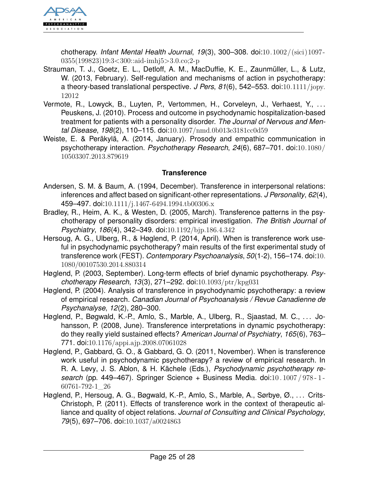

chotherapy. *Infant Mental Health Journal*, *19*(3), 300–308. doi:[10.1002/\(sici\)1097-](http://dx.doi.org/10.1002/(sici)1097-0355(199823)19:3<300::aid-imhj5>3.0.co;2-p) [0355\(199823\)19:3<300::aid-imhj5>3.0.co;2-p](http://dx.doi.org/10.1002/(sici)1097-0355(199823)19:3<300::aid-imhj5>3.0.co;2-p)

- Strauman, T. J., Goetz, E. L., Detloff, A. M., MacDuffie, K. E., Zaunmüller, L., & Lutz, W. (2013, February). Self-regulation and mechanisms of action in psychotherapy: a theory-based translational perspective. *J Pers*, *81*(6), 542–553. doi:[10.1111/jopy.](http://dx.doi.org/10.1111/jopy.12012) [12012](http://dx.doi.org/10.1111/jopy.12012)
- Vermote, R., Lowyck, B., Luyten, P., Vertommen, H., Corveleyn, J., Verhaest, Y., ... Peuskens, J. (2010). Process and outcome in psychodynamic hospitalization-based treatment for patients with a personality disorder. *The Journal of Nervous and Mental Disease*, *198*(2), 110–115. doi:[10.1097/nmd.0b013e3181cc0d59](http://dx.doi.org/10.1097/nmd.0b013e3181cc0d59)
- Weiste, E. & Peräkylä, A. (2014, January). Prosody and empathic communication in psychotherapy interaction. *Psychotherapy Research*, *24*(6), 687–701. doi:[10.1080/](http://dx.doi.org/10.1080/10503307.2013.879619) [10503307.2013.879619](http://dx.doi.org/10.1080/10503307.2013.879619)

### <span id="page-24-0"></span>**Transference**

- Andersen, S. M. & Baum, A. (1994, December). Transference in interpersonal relations: inferences and affect based on significant-other representations. *J Personality*, *62*(4), 459–497. doi:[10.1111/j.1467-6494.1994.tb00306.x](http://dx.doi.org/10.1111/j.1467-6494.1994.tb00306.x)
- Bradley, R., Heim, A. K., & Westen, D. (2005, March). Transference patterns in the psychotherapy of personality disorders: empirical investigation. *The British Journal of Psychiatry*, *186*(4), 342–349. doi:[10.1192/bjp.186.4.342](http://dx.doi.org/10.1192/bjp.186.4.342)
- Hersoug, A. G., Ulberg, R., & Høglend, P. (2014, April). When is transference work useful in psychodynamic psychotherapy? main results of the first experimental study of transference work (FEST). *Contemporary Psychoanalysis*, *50*(1-2), 156–174. doi:[10.](http://dx.doi.org/10.1080/00107530.2014.880314) [1080/00107530.2014.880314](http://dx.doi.org/10.1080/00107530.2014.880314)
- Høglend, P. (2003, September). Long-term effects of brief dynamic psychotherapy. *Psychotherapy Research*, *13*(3), 271–292. doi:[10.1093/ptr/kpg031](http://dx.doi.org/10.1093/ptr/kpg031)
- Høglend, P. (2004). Analysis of transference in psychodynamic psychotherapy: a review of empirical research. *Canadian Journal of Psychoanalysis / Revue Canadienne de Psychanalyse*, *12*(2), 280–300.
- Høglend, P., Bøgwald, K.-P., Amlo, S., Marble, A., Ulberg, R., Sjaastad, M. C., . . . Johansson, P. (2008, June). Transference interpretations in dynamic psychotherapy: do they really yield sustained effects? *American Journal of Psychiatry*, *165*(6), 763– 771. doi:[10.1176/appi.ajp.2008.07061028](http://dx.doi.org/10.1176/appi.ajp.2008.07061028)
- Høglend, P., Gabbard, G. O., & Gabbard, G. O. (2011, November). When is transference work useful in psychodynamic psychotherapy? a review of empirical research. In R. A. Levy, J. S. Ablon, & H. Kächele (Eds.), *Psychodynamic psychotherapy research* (pp. 449–467). Springer Science + Business Media. doi:[10 . 1007 / 978 - 1 -](http://dx.doi.org/10.1007/978-1-60761-792-1_26) [60761-792-1\\_26](http://dx.doi.org/10.1007/978-1-60761-792-1_26)
- Høglend, P., Hersoug, A. G., Bøgwald, K.-P., Amlo, S., Marble, A., Sørbye, Ø., . . . Crits-Christoph, P. (2011). Effects of transference work in the context of therapeutic alliance and quality of object relations. *Journal of Consulting and Clinical Psychology*, *79*(5), 697–706. doi:[10.1037/a0024863](http://dx.doi.org/10.1037/a0024863)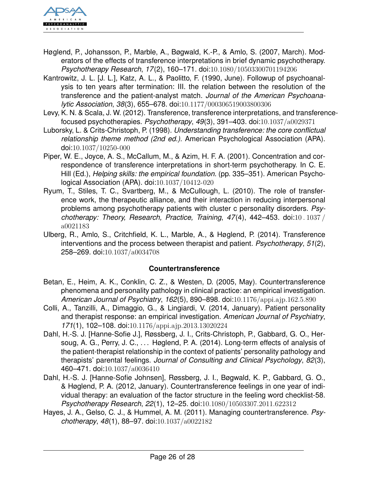

- Høglend, P., Johansson, P., Marble, A., Bøgwald, K.-P., & Amlo, S. (2007, March). Moderators of the effects of transference interpretations in brief dynamic psychotherapy. *Psychotherapy Research*, *17*(2), 160–171. doi:[10.1080/10503300701194206](http://dx.doi.org/10.1080/10503300701194206)
- Kantrowitz, J. L. [J. L.], Katz, A. L., & Paolitto, F. (1990, June). Followup of psychoanalysis to ten years after termination: III. the relation between the resolution of the transference and the patient-analyst match. *Journal of the American Psychoanalytic Association*, *38*(3), 655–678. doi:[10.1177/000306519003800306](http://dx.doi.org/10.1177/000306519003800306)
- Levy, K. N. & Scala, J. W. (2012). Transference, transference interpretations, and transferencefocused psychotherapies. *Psychotherapy*, *49*(3), 391–403. doi:[10.1037/a0029371](http://dx.doi.org/10.1037/a0029371)
- Luborsky, L. & Crits-Christoph, P. (1998). *Understanding transference: the core conflictual relationship theme method (2nd ed.).* American Psychological Association (APA). doi:[10.1037/10250-000](http://dx.doi.org/10.1037/10250-000)
- Piper, W. E., Joyce, A. S., McCallum, M., & Azim, H. F. A. (2001). Concentration and correspondence of transference interpretations in short-term psychotherapy. In C. E. Hill (Ed.), *Helping skills: the empirical foundation.* (pp. 335–351). American Psychological Association (APA). doi:[10.1037/10412-020](http://dx.doi.org/10.1037/10412-020)
- Ryum, T., Stiles, T. C., Svartberg, M., & McCullough, L. (2010). The role of transference work, the therapeutic alliance, and their interaction in reducing interpersonal problems among psychotherapy patients with cluster c personality disorders. *Psychotherapy: Theory, Research, Practice, Training*, *47*(4), 442–453. doi:[10 . 1037 /](http://dx.doi.org/10.1037/a0021183) [a0021183](http://dx.doi.org/10.1037/a0021183)
- Ulberg, R., Amlo, S., Critchfield, K. L., Marble, A., & Høglend, P. (2014). Transference interventions and the process between therapist and patient. *Psychotherapy*, *51*(2), 258–269. doi:[10.1037/a0034708](http://dx.doi.org/10.1037/a0034708)

### <span id="page-25-0"></span>**Countertransference**

- Betan, E., Heim, A. K., Conklin, C. Z., & Westen, D. (2005, May). Countertransference phenomena and personality pathology in clinical practice: an empirical investigation. *American Journal of Psychiatry*, *162*(5), 890–898. doi:[10.1176/appi.ajp.162.5.890](http://dx.doi.org/10.1176/appi.ajp.162.5.890)
- Colli, A., Tanzilli, A., Dimaggio, G., & Lingiardi, V. (2014, January). Patient personality and therapist response: an empirical investigation. *American Journal of Psychiatry*, *171*(1), 102–108. doi:[10.1176/appi.ajp.2013.13020224](http://dx.doi.org/10.1176/appi.ajp.2013.13020224)
- Dahl, H.-S. J. [Hanne-Sofie J.], Røssberg, J. I., Crits-Christoph, P., Gabbard, G. O., Hersoug, A. G., Perry, J. C., ... Høglend, P. A. (2014). Long-term effects of analysis of the patient-therapist relationship in the context of patients' personality pathology and therapists' parental feelings. *Journal of Consulting and Clinical Psychology*, *82*(3), 460–471. doi:[10.1037/a0036410](http://dx.doi.org/10.1037/a0036410)
- Dahl, H.-S. J. [Hanne-Sofie Johnsen], Røssberg, J. I., Bøgwald, K. P., Gabbard, G. O., & Høglend, P. A. (2012, January). Countertransference feelings in one year of individual therapy: an evaluation of the factor structure in the feeling word checklist-58. *Psychotherapy Research*, *22*(1), 12–25. doi:[10.1080/10503307.2011.622312](http://dx.doi.org/10.1080/10503307.2011.622312)
- Hayes, J. A., Gelso, C. J., & Hummel, A. M. (2011). Managing countertransference. *Psychotherapy*, *48*(1), 88–97. doi:[10.1037/a0022182](http://dx.doi.org/10.1037/a0022182)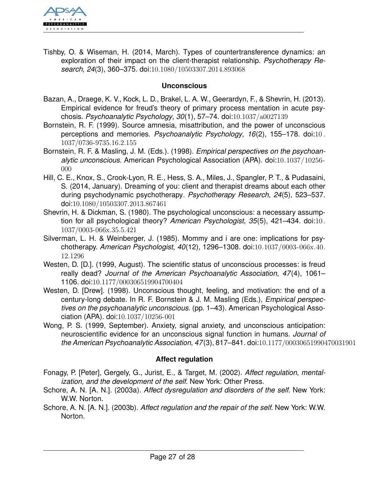

Tishby, O. & Wiseman, H. (2014, March). Types of countertransference dynamics: an exploration of their impact on the client-therapist relationship. *Psychotherapy Research*, *24*(3), 360–375. doi:[10.1080/10503307.2014.893068](http://dx.doi.org/10.1080/10503307.2014.893068)

#### <span id="page-26-0"></span>**Unconscious**

- Bazan, A., Draege, K. V., Kock, L. D., Brakel, L. A. W., Geerardyn, F., & Shevrin, H. (2013). Empirical evidence for freud's theory of primary process mentation in acute psychosis. *Psychoanalytic Psychology*, *30*(1), 57–74. doi:[10.1037/a0027139](http://dx.doi.org/10.1037/a0027139)
- Bornstein, R. F. (1999). Source amnesia, misattribution, and the power of unconscious perceptions and memories. *Psychoanalytic Psychology*, *16*(2), 155–178. doi:[10 .](http://dx.doi.org/10.1037/0736-9735.16.2.155) [1037/0736-9735.16.2.155](http://dx.doi.org/10.1037/0736-9735.16.2.155)
- Bornstein, R. F. & Masling, J. M. (Eds.). (1998). *Empirical perspectives on the psychoanalytic unconscious.* American Psychological Association (APA). doi:[10.1037/10256-](http://dx.doi.org/10.1037/10256-000) [000](http://dx.doi.org/10.1037/10256-000)
- Hill, C. E., Knox, S., Crook-Lyon, R. E., Hess, S. A., Miles, J., Spangler, P. T., & Pudasaini, S. (2014, January). Dreaming of you: client and therapist dreams about each other during psychodynamic psychotherapy. *Psychotherapy Research*, *24*(5), 523–537. doi:[10.1080/10503307.2013.867461](http://dx.doi.org/10.1080/10503307.2013.867461)
- Shevrin, H. & Dickman, S. (1980). The psychological unconscious: a necessary assumption for all psychological theory? *American Psychologist*, *35*(5), 421–434. doi:[10.](http://dx.doi.org/10.1037/0003-066x.35.5.421) [1037/0003-066x.35.5.421](http://dx.doi.org/10.1037/0003-066x.35.5.421)
- Silverman, L. H. & Weinberger, J. (1985). Mommy and i are one: implications for psychotherapy. *American Psychologist*, *40*(12), 1296–1308. doi:[10.1037/0003-066x.40.](http://dx.doi.org/10.1037/0003-066x.40.12.1296) [12.1296](http://dx.doi.org/10.1037/0003-066x.40.12.1296)
- Westen, D. [D.]. (1999, August). The scientific status of unconscious processes: is freud really dead? *Journal of the American Psychoanalytic Association*, *47*(4), 1061– 1106. doi:[10.1177/000306519904700404](http://dx.doi.org/10.1177/000306519904700404)
- Westen, D. [Drew]. (1998). Unconscious thought, feeling, and motivation: the end of a century-long debate. In R. F. Bornstein & J. M. Masling (Eds.), *Empirical perspectives on the psychoanalytic unconscious.* (pp. 1–43). American Psychological Association (APA). doi:[10.1037/10256-001](http://dx.doi.org/10.1037/10256-001)
- Wong, P. S. (1999, September). Anxiety, signal anxiety, and unconscious anticipation: neuroscientific evidence for an unconscious signal function in humans. *Journal of the American Psychoanalytic Association*, *47*(3), 817–841. doi:[10.1177/00030651990470031901](http://dx.doi.org/10.1177/00030651990470031901)

### <span id="page-26-1"></span>**Affect regulation**

- Fonagy, P. [Peter], Gergely, G., Jurist, E., & Target, M. (2002). *Affect regulation, mentalization, and the development of the self.* New York: Other Press.
- Schore, A. N. [A. N.]. (2003a). *Affect dysregulation and disorders of the self.* New York: W.W. Norton.
- Schore, A. N. [A. N.]. (2003b). *Affect regulation and the repair of the self.* New York: W.W. Norton.